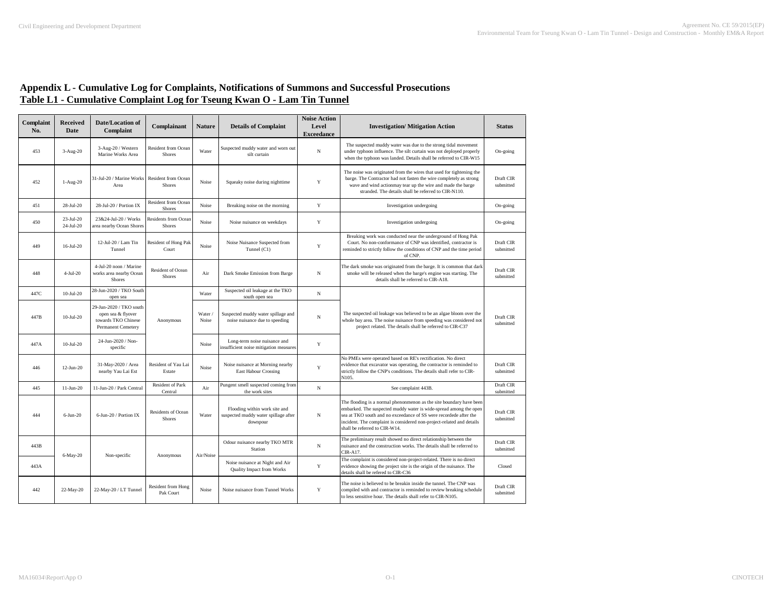| Complaint<br>No. | <b>Received</b><br>Date | <b>Date/Location of</b><br>Complaint                                                       | Complainant                                  | <b>Nature</b>    | <b>Details of Complaint</b>                                                       | <b>Noise Action</b><br>Level | <b>Investigation/Mitigation Action</b>                                                                                                                                                                                                                                                                                  | <b>Status</b>          |
|------------------|-------------------------|--------------------------------------------------------------------------------------------|----------------------------------------------|------------------|-----------------------------------------------------------------------------------|------------------------------|-------------------------------------------------------------------------------------------------------------------------------------------------------------------------------------------------------------------------------------------------------------------------------------------------------------------------|------------------------|
| 453              | $3-Aug-20$              | 3-Aug-20 / Western<br>Marine Works Area                                                    | Resident from Ocean<br>Shores                | Water            | Suspected muddy water and worn out<br>silt curtain                                | <b>Exceedance</b><br>N       | The suspected muddy water was due to the strong tidal movement<br>under typhoon influence. The silt curtain was not deployed properly<br>when the typhoon was landed. Details shall be referred to CIR-W15                                                                                                              | On-going               |
| 452              | $1-Aug-20$              | 31-Jul-20 / Marine Work:<br>Area                                                           | <b>Resident from Ocean</b><br><b>Shores</b>  | Noise            | Squeaky noise during nighttime                                                    | Y                            | The noise was originated from the wires that used for tightening the<br>barge. The Contractor had not fasten the wire completely as strong<br>wave and wind actionmay tear up the wire and made the barge<br>stranded. The details shall be referred to CIR-N110.                                                       | Draft CIR<br>submitted |
| 451              | 28-Jul-20               | 28-Jul-20 / Portion IX                                                                     | Resident from Ocean<br>Shores                | Noise            | Breaking noise on the morning                                                     | Y                            | Investigation undergoing                                                                                                                                                                                                                                                                                                | On-going               |
| 450              | 23-Jul-20<br>24-Jul-20  | 23&24-Jul-20 / Works<br>area nearby Ocean Shores                                           | <b>Residents from Ocean</b><br><b>Shores</b> | Noise            | Noise nuisance on weekdays                                                        | Y                            | Investigation undergoing                                                                                                                                                                                                                                                                                                | On-going               |
| 449              | $16$ -Jul-20            | 12-Jul-20 / Lam Tin<br>Tunnel                                                              | Resident of Hong Pak<br>Court                | Noise            | Noise Nuisance Suspected from<br>Tunnel (C1)                                      | Y                            | Breaking work was conducted near the underground of Hong Pak<br>Court. No non-conformance of CNP was identified, contractor is<br>reminded to strictly follow the conditions of CNP and the time period<br>of CNP.                                                                                                      | Draft CIR<br>submitted |
| 448              | 4-Jul-20                | 4-Jul-20 noon / Marine<br>works area nearby Ocean<br>Shores                                | Resident of Ocean<br>Shores                  | Air              | Dark Smoke Emission from Barge                                                    | N                            | The dark smoke was originated from the barge. It is common that dark<br>smoke will be released when the barge's engine was starting. The<br>details shall be referred to CIR-A18.                                                                                                                                       | Draft CIR<br>submitted |
| 447C             | $10-Jul-20$             | 28-Jun-2020 / TKO South<br>open sea                                                        |                                              | Water            | Suspected oil leakage at the TKO<br>south open sea                                | $_{\rm N}$                   |                                                                                                                                                                                                                                                                                                                         |                        |
| 447B             | $10-Jul-20$             | 29-Jun-2020 / TKO south<br>open sea & flyover<br>towards TKO Chinese<br>Permanent Cemetery | Anonymous                                    | Water /<br>Noise | Suspected muddy water spillage and<br>noise nuisance due to speeding              | $_{\rm N}$                   | The suspected oil leakage was believed to be an algae bloom over the<br>whole bay area. The noise nuisance from speeding was considered not<br>project related. The details shall be referred to CIR-C37                                                                                                                | Draft CIR<br>submitted |
| 447A             | $10$ -Jul-20            | 24-Jun-2020 / Non-<br>specific                                                             |                                              | Noise            | Long-term noise nuisance and<br>insufficient noise mitigation measures            | $\mathbf Y$                  |                                                                                                                                                                                                                                                                                                                         |                        |
| 446              | $12-Jun-20$             | 31-May-2020 / Area<br>nearby Yau Lai Est                                                   | Resident of Yau Lai<br>Estate                | Noise            | Noise nuisance at Morning nearby<br>East Habour Crossing                          | Y                            | No PMEs were operated based on RE's rectification. No direct<br>evidence that excavator was operating, the contractor is reminded to<br>strictly follow the CNP's conditions. The details shall refer to CIR-<br>N105.                                                                                                  | Draft CIR<br>submitted |
| 445              | $11-Jun-20$             | 11-Jun-20 / Park Central                                                                   | Resident of Park<br>Central                  | Air              | Pungent smell suspected coming from<br>the work sites                             | N                            | See complaint 443B.                                                                                                                                                                                                                                                                                                     | Draft CIR<br>submitted |
| 444              | $6$ -Jun-20             | 6-Jun-20 / Portion IX                                                                      | <b>Residents of Ocean</b><br>Shores          | Water            | Flooding within work site and<br>suspected muddy water spillage after<br>downpour | N                            | The flooding is a normal phenonmenon as the site boundary have been<br>embarked. The suspected muddy water is wide-spread among the open<br>sea at TKO south and no exceedance of SS were recordede after the<br>incident. The complaint is considered non-project-related and details<br>shall be referred to CIR-W14. | Draft CIR<br>submitted |
| 443B             | 6-May-20                | Non-specific                                                                               | Anonymous                                    | Air/Noise        | Odour nuisance nearby TKO MTR<br>Station                                          | N                            | The preliminary result showed no direct relationship between the<br>quisance and the construction works. The details shall be referred to<br>$CIR-A17$                                                                                                                                                                  | Draft CIR<br>submitted |
| 443A             |                         |                                                                                            |                                              |                  | Noise nuisance at Night and Air<br><b>Quality Impact from Works</b>               | $\mathbf Y$                  | The complaint is considered non-project-related. There is no direct<br>evidence showing the project site is the origin of the nuisance. The<br>details shall be refered to CIR-C36                                                                                                                                      | Closed                 |
| 442              | 22-May-20               | 22-May-20 / LT Tunnel                                                                      | Resident from Hong<br>Pak Court              | Noise            | Noise nuisance from Tunnel Works                                                  | $\mathbf Y$                  | The noise is believed to be breakin inside the tunnel. The CNP was<br>compiled with and contractor is reminded to review breaking schedule<br>to less sensitive hour. The details shall refer to CIR-N105.                                                                                                              | Draft CIR<br>submitted |

## **Appendix L - Cumulative Log for Complaints, Notifications of Summons and Successful Prosecutions Table L1 - Cumulative Complaint Log for Tseung Kwan O - Lam Tin Tunnel**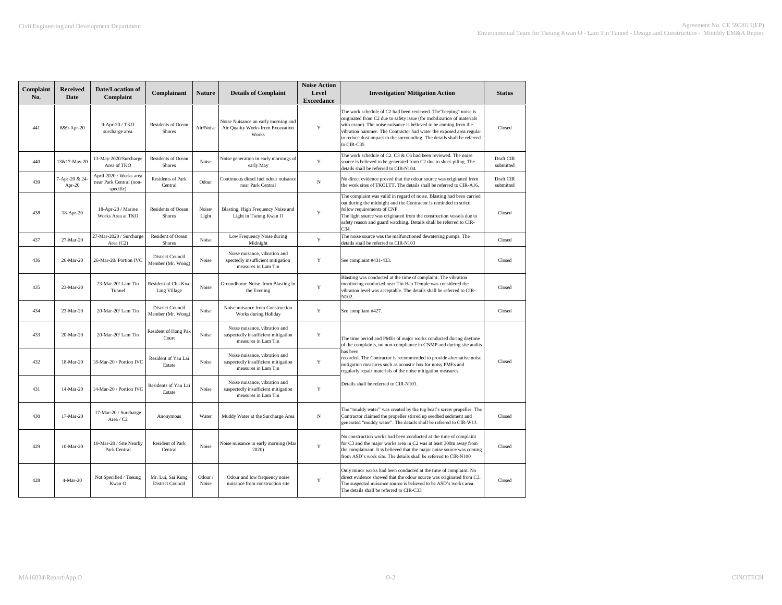| Complaint<br>No. | <b>Received</b><br>Date | <b>Date/Location of</b><br>Complaint                            | Complainant                                  | <b>Nature</b>    | <b>Details of Complaint</b>                                                                 | <b>Noise Action</b><br>Level<br><b>Exceedance</b> | <b>Investigation/Mitigation Action</b>                                                                                                                                                                                                                                                                                                                                          | <b>Status</b>          |
|------------------|-------------------------|-----------------------------------------------------------------|----------------------------------------------|------------------|---------------------------------------------------------------------------------------------|---------------------------------------------------|---------------------------------------------------------------------------------------------------------------------------------------------------------------------------------------------------------------------------------------------------------------------------------------------------------------------------------------------------------------------------------|------------------------|
| 441              | 8&9-Apr-20              | 9-Apr-20 / TKO<br>surcharge area                                | Residents of Ocean<br>Shores                 | Air/Noise        | Noise Nuisance on early morning and<br>Air Quality Works from Excavation<br>Works           | Y                                                 | The work schedule of C2 had been reviewed. The "beeping" noise is<br>originated from C2 due to safety issue (for mobilization of materials<br>with crane). The noise nuisance is believed to be coming from the<br>vibration hammer. The Contractor had water the exposed area regular<br>to reduce dust impact to the surrounding. The details shall be referred<br>to CIR-C35 | Closed                 |
| 440              | 13&17-May-20            | 13-May-2020/Surcharge<br>Area of TKO                            | Residents of Ocean<br>Shores                 | Noise            | Noise generation in early mornings of<br>early May                                          | $\mathbf Y$                                       | The work schedule of $C2$ . $C3$ & $C6$ had been reviewed. The noise<br>source is believed to be generated from C2 due to sheet-piling. The<br>details shall be referred to CIR-N104.                                                                                                                                                                                           | Draft CIR<br>submitted |
| 439              | 7-Apr-20 & 24<br>Apr-20 | April 2020 / Works area<br>near Park Central (non-<br>specific) | Residents of Park<br>Central                 | Odour            | Continuous diesel fuel odour nuisance<br>near Park Central                                  | $_{\rm N}$                                        | No direct evidence proved that the odour source was originated from<br>the work sites of TKOLTT. The details shall be referred to CIR-A16.                                                                                                                                                                                                                                      | Draft CIR<br>submitted |
| 438              | 18-Apr-20               | 18-Apr-20 / Marine<br>Works Area at TKO                         | Residents of Ocean<br>Shores                 | Noise/<br>Light  | Blasting, High Frequency Noise and<br>Light in Tseung Kwan O                                | Y                                                 | The complaint was valid in regard of noise. Blasting had been carried<br>out during the midnight and the Contractor is reminded to strictl<br>follow requirements of CNP.<br>The light source was originated from the construction vessels due to<br>safety reason and guard watching. Details shall be referred to CIR-<br>C34.                                                | Closed                 |
| 437              | 27-Mar-20               | 27-Mar-2020 / Surcharge<br>Area (C2)                            | Resident of Ocean<br>Shores                  | Noise            | Low Frequency Noise during<br>Midnight                                                      | $\mathbf Y$                                       | The noise source was the malfunctioned dewatering pumps. The<br>details shall be referred to CIR-N103                                                                                                                                                                                                                                                                           | Closed                 |
| 436              | 26-Mar-20               | 26-Mar-20/Portion IVC                                           | District Council<br>Member (Mr. Wong)        | Noise            | Noise nuisance, vibration and<br>spectedly insufficient mitigation<br>measures in Lam Tin   | Y                                                 | See complaint #431-433.                                                                                                                                                                                                                                                                                                                                                         | Closed                 |
| 435              | 23-Mar-20               | 23-Mar-20/Lam Tin<br>Tunnel                                     | Resident of Cha Kwo<br>Ling Village          | Noise            | Groundborne Noise from Blasting in<br>the Evening                                           | Y                                                 | Blasting was conducted at the time of complaint. The vibration<br>monitoring conducted near Tin Hau Temple was considered the<br>vibration level was acceptable. The details shall be referred to CIR-<br>N102.                                                                                                                                                                 | Closed                 |
| 434              | 23-Mar-20               | 20-Mar-20/Lam Tin                                               | <b>District Council</b><br>Member (Mr. Wong) | Noise            | Noise nuisance from Construction<br>Works during Holiday                                    | Y                                                 | See compliant #427.                                                                                                                                                                                                                                                                                                                                                             | Closed                 |
| 433              | 20-Mar-20               | 20-Mar-20/Lam Tin                                               | Resident of Hong Pak<br>Court                | Noise            | Noise nuisance, vibration and<br>suspectedly insufficient mitigation<br>measures in Lam Tin | $\mathbf Y$                                       | The time period and PMEs of major works conducted during daytime<br>of the complaints, no non-compliance in CNMP and during site audits                                                                                                                                                                                                                                         |                        |
| 432              | 18-Mar-20               | 18-Mar-20 / Portion IVC                                         | Resident of Yau Lai<br>Estate                | Noise            | Noise nuisance, vibration and<br>suspectedly insufficient mitigation<br>measures in Lam Tin | Y                                                 | has been<br>recorded. The Contractor is recommended to provide alternative noise<br>mitigation measures such as acoustic box for noisy PMEs and<br>regularly repair materials of the noise mitigation measures.                                                                                                                                                                 | Closed                 |
| 431              | 14-Mar-20               | 14-Mar-20 / Portion IVC                                         | Residents of Yau Lai<br>Estate               | Noise            | Noise nuisance, vibration and<br>suspectedly insufficient mitigation<br>measures in Lam Tin | Y                                                 | Details shall be referred to CIR-N101.                                                                                                                                                                                                                                                                                                                                          |                        |
| 430              | 17-Mar-20               | 17-Mar-20 / Surcharge<br>Area / C2                              | Anonymous                                    | Water            | Muddy Water at the Surcharge Area                                                           | $_{\rm N}$                                        | The "muddy water" was created by the tug boat's screw propeller. The<br>Contractor claimed the propeller stirred up seedbed sediment and<br>generated "muddy water". The details shall be referred to CIR-W13.                                                                                                                                                                  | Closed                 |
| 429              | $10-Mar-20$             | 10-Mar-20 / Site Nearby<br>Park Central                         | Resident of Park<br>Central                  | Noise            | Noise nuisance in early morning (Mar<br>2020)                                               | Y                                                 | No construction works had been conducted at the time of complaint<br>for C3 and the major works area in C2 was at least 300m away from<br>the complainant. It is believed that the major noise source was coming<br>from ASD's work site. The details shall be referred to CIR-N100                                                                                             | Closed                 |
| 428              | 4-Mar-20                | Not Specified / Tseung<br>Kwan O                                | Mr. Lui, Sai Kung<br>District Council        | Odour /<br>Noise | Odour and low frequency noise<br>nuisance from construction site                            | Y                                                 | Only minor works had been conducted at the time of complaint. No<br>direct evidence showed that the odour source was originated from C3.<br>The suspected nuisance source is believed to be ASD's works area.<br>The details shall be referred to CIR-C33                                                                                                                       | Closed                 |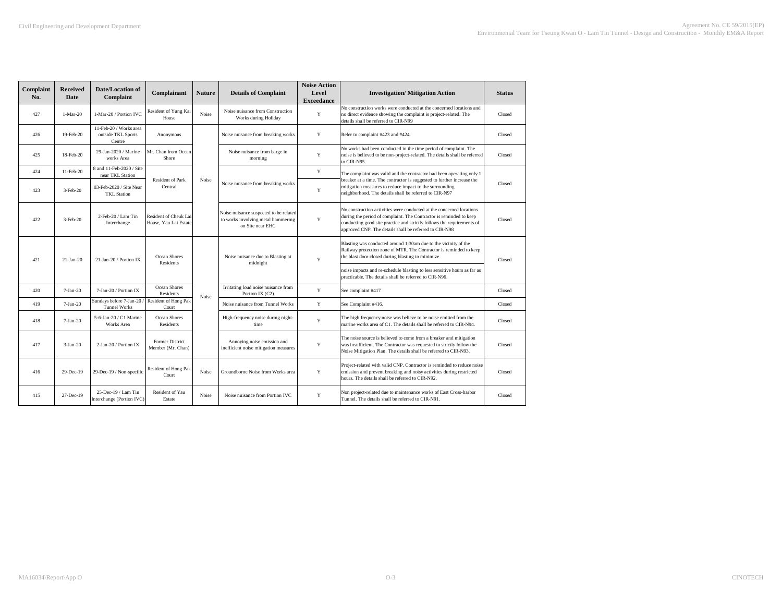| Complaint<br>No. | <b>Received</b><br>Date | <b>Date/Location of</b><br>Complaint                   | Complainant                                    | <b>Nature</b> | <b>Details of Complaint</b>                                                                      | <b>Noise Action</b><br>Level<br><b>Exceedance</b> | <b>Investigation/ Mitigation Action</b>                                                                                                                                                                                                                                        | <b>Status</b> |
|------------------|-------------------------|--------------------------------------------------------|------------------------------------------------|---------------|--------------------------------------------------------------------------------------------------|---------------------------------------------------|--------------------------------------------------------------------------------------------------------------------------------------------------------------------------------------------------------------------------------------------------------------------------------|---------------|
| 427              | $1-Mar-20$              | 1-Mar-20 / Portion IVC                                 | Resident of Yung Kai<br>House                  | Noise         | Noise nuisance from Construction<br>Works during Holiday                                         | Y                                                 | No construction works were conducted at the concerned locations and<br>no direct evidence showing the complaint is project-related. The<br>details shall be referred to CIR-N99                                                                                                | Closed        |
| 426              | 19-Feb-20               | 11-Feb-20 / Works area<br>outside TKL Sports<br>Centre | Anonymous                                      |               | Noise nuisance from breaking works                                                               | Y                                                 | Refer to complaint #423 and #424.                                                                                                                                                                                                                                              | Closed        |
| 425              | 18-Feb-20               | 29-Jan-2020 / Marine<br>works Area                     | Mr. Chan from Ocean<br>Shore                   |               | Noise nuisance from barge in<br>morning                                                          | Y                                                 | No works had been conducted in the time period of complaint. The<br>noise is believed to be non-project-related. The details shall be referred<br>to CIR-N95.                                                                                                                  | Closed        |
| 424              | 11-Feb-20               | 8 and 11-Feb-2020 / Site<br>near TKL Station           |                                                |               |                                                                                                  | $\mathbf Y$                                       | The complaint was valid and the contractor had been operating only 1                                                                                                                                                                                                           |               |
| 423              | $3-Feb-20$              | 03-Feb-2020 / Site Near<br><b>TKL Station</b>          | <b>Resident of Park</b><br>Central             | Noise         | Noise nuisance from breaking works                                                               | Y                                                 | breaker at a time. The contractor is suggested to further increase the<br>mitigation measures to reduce impact to the surrounding<br>neighborhood. The details shall be referred to CIR-N97                                                                                    | Closed        |
| 422              | 3-Feb-20                | 2-Feb-20 / Lam Tin<br>Interchange                      | Resident of Cheuk Lai<br>House, Yau Lai Estate |               | Noise nuisance suspected to be related<br>to works involving metal hammering<br>on Site near EHC | Y                                                 | No construction activities were conducted at the concerned locations<br>during the period of complaint. The Contractor is reminded to keep<br>conducting good site practice and strictly follows the requirements of<br>approved CNP. The details shall be referred to CIR-N98 | Closed        |
| 421              | $21-Jan-20$             | 21-Jan-20 / Portion IX                                 | Ocean Shores<br><b>Residents</b>               |               | Noise nuisance due to Blasting at<br>midnight                                                    | Y                                                 | Blasting was conducted around 1:30am due to the vicinity of the<br>Railway protection zone of MTR. The Contractor is reminded to keep<br>the blast door closed during blasting to minimize                                                                                     | Closed        |
|                  |                         |                                                        |                                                |               |                                                                                                  |                                                   | noise impacts and re-schedule blasting to less sensitive hours as far as<br>practicable. The details shall be referred to CIR-N96.                                                                                                                                             |               |
| 420              | $7-Jan-20$              | 7-Jan-20 / Portion IX                                  | Ocean Shores<br>Residents                      | Noise         | Irritating loud noise nuisance from<br>Portion IX (C2)                                           | Y                                                 | See complaint #417                                                                                                                                                                                                                                                             | Closed        |
| 419              | $7-Jan-20$              | Sundays before 7-Jan-20<br><b>Tunnel Works</b>         | Resident of Hong Pak<br>Court                  |               | Noise nuisance from Tunnel Works                                                                 | Y                                                 | See Complaint #416.                                                                                                                                                                                                                                                            | Closed        |
| 418              | $7-Jan-20$              | 5-6-Jan-20 / C1 Marine<br>Works Area                   | Ocean Shores<br>Residents                      |               | High-frequency noise during night-<br>time                                                       | Y                                                 | The high frequency noise was believe to be noise emitted from the<br>marine works area of C1. The details shall be referred to CIR-N94.                                                                                                                                        | Closed        |
| 417              | $3-Jan-20$              | 2-Jan-20 / Portion IX                                  | Former District<br>Member (Mr. Chan)           |               | Annoying noise emission and<br>inefficient noise mitigation measures                             | Y                                                 | The noise source is believed to come from a breaker and mitigation<br>was insufficient. The Contractor was requested to strictly follow the<br>Noise Mitigation Plan. The details shall be referred to CIR-N93.                                                                | Closed        |
| 416              | 29-Dec-19               | 29-Dec-19 / Non-specific                               | Resident of Hong Pak<br>Court                  | Noise         | Groundborne Noise from Works area                                                                | Y                                                 | Project-related with valid CNP. Contractor is reminded to reduce noise<br>emission and prevent breaking and noisy activities during restricted<br>hours. The details shall be referred to CIR-N92.                                                                             | Closed        |
| 415              | 27-Dec-19               | 25-Dec-19 / Lam Tin<br>Interchange (Portion IVC)       | Resident of Yau<br>Estate                      | Noise         | Noise nuisance from Portion IVC                                                                  | Y                                                 | Non project-related due to maintenance works of East Cross-harbor<br>Tunnel. The details shall be referred to CIR-N91.                                                                                                                                                         | Closed        |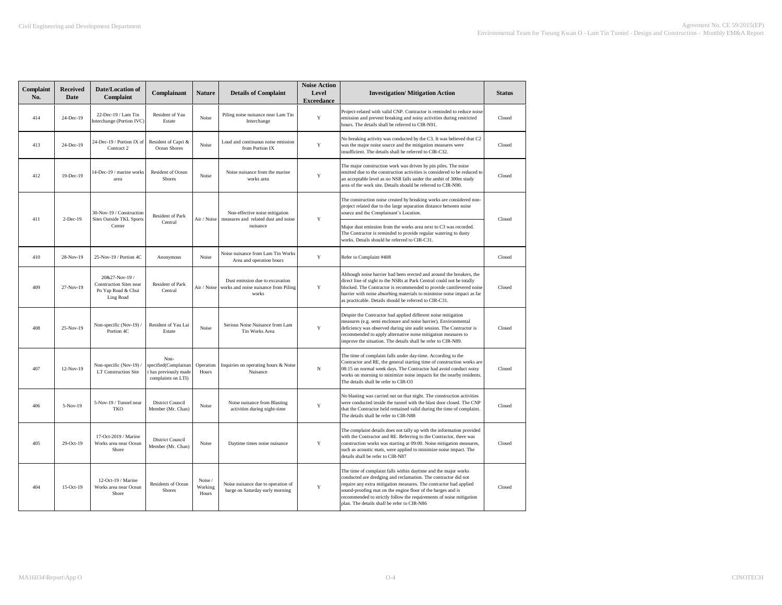| Complaint<br>No. | <b>Received</b><br><b>Date</b> | <b>Date/Location of</b><br>Complaint                                                | Complainant                                                                 | <b>Nature</b>               | <b>Details of Complaint</b>                                                      | <b>Noise Action</b><br>Level<br><b>Exceedance</b> | <b>Investigation/ Mitigation Action</b>                                                                                                                                                                                                                                                                                                                                                    | <b>Status</b> |
|------------------|--------------------------------|-------------------------------------------------------------------------------------|-----------------------------------------------------------------------------|-----------------------------|----------------------------------------------------------------------------------|---------------------------------------------------|--------------------------------------------------------------------------------------------------------------------------------------------------------------------------------------------------------------------------------------------------------------------------------------------------------------------------------------------------------------------------------------------|---------------|
| 414              | 24-Dec-19                      | 22-Dec-19 / Lam Tin<br>Interchange (Portion IVC)                                    | Resident of Yau<br>Estate                                                   | Noise                       | Piling noise nuisance near Lam Tin<br>Interchange                                | $\mathbf Y$                                       | Project-related with valid CNP. Contractor is reminded to reduce noise<br>emission and prevent breaking and noisy activities during restricted<br>hours. The details shall be referred to CIR-N91.                                                                                                                                                                                         | Closed        |
| 413              | 24-Dec-19                      | 24-Dec-19 / Portion IX of<br>Contract 2                                             | Resident of Capri &<br>Ocean Shores                                         | Noise                       | Loud and continuous noise emission<br>from Portion IX                            | Y                                                 | No breaking activity was conducted by the C3. It was believed that C2<br>was the major noise source and the mitigation measures were<br>insufficient. The details shall be referred to CIR-C32.                                                                                                                                                                                            | Closed        |
| 412              | 19-Dec-19                      | 14-Dec-19 / marine works<br>area                                                    | Resident of Ocean<br>Shores                                                 | Noise                       | Noise nuisance from the marine<br>works area                                     | Y                                                 | The major construction work was driven by pin piles. The noise<br>emitted due to the construction activities is considered to be reduced to<br>an acceptable level as no NSR falls under the ambit of 300m study<br>area of the work site. Details should be referred to CIR-N90.                                                                                                          | Closed        |
| 411              | 2-Dec-19                       | 30-Nov-19 / Construction<br><b>Sites Outside TKL Sports</b>                         | Resident of Park                                                            | Air / Noise                 | Non-effective noise mitigation<br>measures and related dust and noise            | $\mathbf Y$                                       | The construction noise created by breaking works are considered non-<br>project related due to the large separation distance between noise<br>source and the Complainant's Location.                                                                                                                                                                                                       | Closed        |
|                  |                                | Center                                                                              | Central                                                                     |                             | nuisance                                                                         |                                                   | Major dust emission from the works area next to C3 was recorded.<br>The Contractor is reminded to provide regular watering to dusty<br>works. Details should be referred to CIR-C31.                                                                                                                                                                                                       |               |
| 410              | 28-Nov-19                      | 25-Nov-19 / Portion 4C                                                              | Anonymous                                                                   | Noise                       | Noise nuisance from Lam Tin Works<br>Area and operation hours                    | Y                                                 | Refer to Complaint #408                                                                                                                                                                                                                                                                                                                                                                    | Closed        |
| 409              | 27-Nov-19                      | 20&27-Nov-19 /<br><b>Construction Sites near</b><br>Po Yap Road & Chui<br>Ling Road | Resident of Park<br>Central                                                 | Air / Noise                 | Dust emission due to excavation<br>works and noise nuisance from Piling<br>works | Y                                                 | Although noise barrier had been erected and around the breakers, the<br>direct line of sight to the NSRs at Park Central could not be totally<br>blocked. The Contractor is recommended to provide cantilevered noise<br>barrier with noise absorbing materials to minimise noise impact as far<br>as practicable. Details should be referred to CIR-C31.                                  | Closed        |
| 408              | 25-Nov-19                      | Non-specific (Nov-19)<br>Portion 4C                                                 | Resident of Yau Lai<br>Estate                                               | Noise                       | Serious Noise Nuisance from Lam<br>Tin Works Area                                | Y                                                 | Despite the Contractor had applied different noise mitigation<br>measures (e.g. semi enclosure and noise barrier). Environmental<br>deficiency was observed during site audit session. The Contractor is<br>recommended to apply alternative noise mitigation measures to<br>improve the situation. The details shall be refer to CIR-N89.                                                 | Closed        |
| 407              | 12-Nov-19                      | Non-specific (Nov-19)<br>LT Construction Site                                       | Non-<br>specified(Complainan<br>t has previously made<br>complaints on LTI) | Operation<br>Hours          | Inquiries on operating hours & Noise<br>Nuisance                                 | N                                                 | The time of complaint falls under day-time. According to the<br>Contractor and RE, the general starting time of construction works are<br>08:15 on normal week days. The Contractor had avoid conduct noisy<br>works on morning to minimize noise impacts for the nearby residents.<br>The details shall be refer to CIR-O3                                                                | Closed        |
| 406              | 5-Nov-19                       | 5-Nov-19 / Tunnel near<br><b>TKO</b>                                                | <b>District Council</b><br>Member (Mr. Chan)                                | Noise                       | Noise nuisance from Blasting<br>activities during night-time                     | Y                                                 | No blasting was carried out on that night. The construction activities<br>were conducted inside the tunnel with the blast door closed. The CNP<br>that the Contractor held remained valid during the time of complaint.<br>The details shall be refer to CIR-N88                                                                                                                           | Closed        |
| 405              | 29-Oct-19                      | 17-Oct-2019 / Marine<br>Works area near Ocean<br>Shore                              | <b>District Council</b><br>Member (Mr. Chan)                                | Noise                       | Daytime times noise nuisance                                                     | Y                                                 | The complaint details does not tally up with the information provided<br>with the Contractor and RE. Referring to the Contractor, there was<br>construction works was starting at 09:00. Noise mitigation measures,<br>such as acoustic mats, were applied to minimize noise impact. The<br>details shall be refer to CIR-N87                                                              | Closed        |
| 404              | $15-Oct-19$                    | 12-Oct-19 / Marine<br>Works area near Ocean<br>Shore                                | Residents of Ocean<br>Shores                                                | Noise /<br>Working<br>Hours | Noise nuisance due to operation of<br>barge on Saturday early morning            | Y                                                 | The time of complaint falls within daytime and the major works<br>conducted are dredging and reclamation. The contractor did not<br>require any extra mitigation measures. The contractor had applied<br>sound-proofing mat on the engine floor of the barges and is<br>recommended to strictly follow the requirements of noise mitigation<br>plan. The details shall be refer to CIR-N86 | Closed        |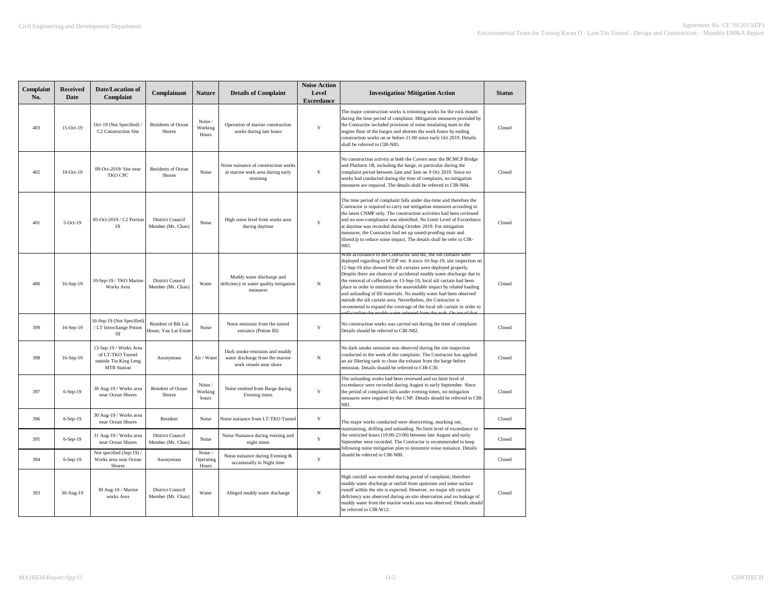| Complaint<br>No. | <b>Received</b><br>Date | Date/Location of<br>Complaint                                                             | Complainant                                  | <b>Nature</b>                 | <b>Details of Complaint</b>                                                                 | <b>Noise Action</b><br>Level<br><b>Exceedance</b> | <b>Investigation/ Mitigation Action</b>                                                                                                                                                                                                                                                                                                                                                                                                                                                                                                                                                                                                             | <b>Status</b> |
|------------------|-------------------------|-------------------------------------------------------------------------------------------|----------------------------------------------|-------------------------------|---------------------------------------------------------------------------------------------|---------------------------------------------------|-----------------------------------------------------------------------------------------------------------------------------------------------------------------------------------------------------------------------------------------------------------------------------------------------------------------------------------------------------------------------------------------------------------------------------------------------------------------------------------------------------------------------------------------------------------------------------------------------------------------------------------------------------|---------------|
| 403              | 15-Oct-19               | Oct-19 (Not Specified)<br>C2 Construction Site                                            | Residents of Ocean<br>Shores                 | Noise /<br>Working<br>Hours   | Operation of marine construction<br>works during late hours                                 | Y                                                 | The major construction works is trimming works for the rock mount<br>during the time period of complaint. Mitigation measures provided by<br>the Contractor included provision of noise insulating mats to the<br>engine floor of the barges and shorten the work hours by ending<br>construction works on or before 21:00 since early Oct 2019. Details<br>shall be referred to CIR-N85.                                                                                                                                                                                                                                                           | Closed        |
| 402              | $10$ -Oct- $19$         | 09-Oct-2019/ Site near<br>TKO CPC                                                         | Residents of Ocean<br><b>Shores</b>          | Noise                         | Noise nuisance of construction works<br>at marine work area during early<br>morning         | Y                                                 | No construction activity at both the Cavern near the BCMCP Bridge<br>and Platform 1B, including the barge, in particular during the<br>complaint period between 2am and 3am on 9 Oct 2019. Since no<br>works had conducted during the time of complaint, no mitigation<br>measures are required. The details shall be referred to CIR-N84.                                                                                                                                                                                                                                                                                                          | Closed        |
| 401              | $5-Oct-19$              | 05-Oct-2019 / C2 Portion<br>IX                                                            | <b>District Council</b><br>Member (Mr. Chan) | Noise                         | High noise level from works area<br>during daytime                                          | Y                                                 | The time period of complaint falls under day-time and therefore the<br>Contractor is required to carry out mitigation measures according to<br>the latest CNMP only. The construction activities had been reviewed<br>and no non-compliance was identified. No Limit Level of Exceedance<br>at daytime was recorded during October 2019. For mitigation<br>measures, the Contractor had set up sound-proofing mats and<br>SlientUp to reduce noise impact. The details shall be refer to CIR-<br>N83.                                                                                                                                               | Closed        |
| 400              | 16-Sep-19               | 10-Sep-19 / TKO Marine<br>Works Area                                                      | <b>District Council</b><br>Member (Mr. Chan) | Water                         | Muddy water discharge and<br>deficiency in water quality mitigation<br>measures             | N                                                 | with accordance to the Contractor and KE, the siit curtains were<br>deployed regarding to SCDP ver. 8 since 10-Sep-19, site inspection on<br>12-Sep-19 also showed the silt curtains were deployed properly.<br>Despite there are chances of accidental muddy water discharge due to<br>the removal of cofferdam on 13-Sep-19, local silt curtain had been<br>place in order to minimize the unavoidable impact by related loading<br>and unloading of fill materials. No muddy water had been observed<br>outside the silt curtain area. Nevertheless, the Contractor is<br>recommend to expand the coverage of the local silt curtain in order to | Closed        |
| 399              | 16-Sep-19               | 16-Sep-19 (Not Specified)<br>/ LT Interchange Potion<br>$\mathbf{III}$                    | Resident of Bik Lai<br>House, Yau Lai Estate | Noise                         | Noise emission from the tunnel<br>entrance (Potion III)                                     | Y                                                 | No construction works was carried out during the time of complaint.<br>Details should be referred to CIR-N82.                                                                                                                                                                                                                                                                                                                                                                                                                                                                                                                                       | Closed        |
| 398              | 16-Sep-19               | 13-Sep-19 / Works Area<br>of LT-TKO Tunnel<br>outside Tiu King Leng<br><b>MTR Station</b> | Anonymous                                    | Air / Water                   | Dark smoke emission and muddy<br>water discharge from the marine<br>work vessels near shore | N                                                 | No dark smoke emission was observed during the site inspection<br>conducted in the week of the complaint. The Contractor has applied<br>an air filtering tank to clean the exhaust from the barge before<br>emission. Details should be referred to CIR-C30.                                                                                                                                                                                                                                                                                                                                                                                        | Closed        |
| 397              | 6-Sep-19                | 30 Aug-19 / Works area<br>near Ocean Shores                                               | Resident of Ocean<br>Shores                  | Noise /<br>Working<br>hours   | Noise emitted from Barge during<br>Evening times                                            | Y                                                 | The unloading works had been reviewed and no limit level of<br>exceedance were recorded during August to early September. Since<br>the period of complaint falls under evening times, no mitigation<br>measures were required by the CNP. Details should be referred to CIR-<br>N81.                                                                                                                                                                                                                                                                                                                                                                | Closed        |
| 396              | 6-Sep-19                | 30 Aug-19 / Works area<br>near Ocean Shores                                               | Resident                                     | Noise                         | Noise nuisance from LT-TKO Tunnel                                                           | Y                                                 | The major works conducted were shortcreting, mucking out,                                                                                                                                                                                                                                                                                                                                                                                                                                                                                                                                                                                           | Closed        |
| 395              | 6-Sep-19                | 31 Aug-19 / Works area<br>near Ocean Shores                                               | District Council<br>Member (Mr. Chan)        | Noise                         | Noise Nuisance during evening and<br>night times                                            | Y                                                 | maintaining, drilling and unloading. No limit level of exceedance in<br>the restricted hours (19:00-23:00) between late August and early<br>September were recorded. The Contractor is recommended to keep<br>following noise mitigation plan to minimize noise nuisance. Details                                                                                                                                                                                                                                                                                                                                                                   | Closed        |
| 394              | 6-Sep-19                | Not specified (Sep-19) /<br>Works area near Ocean<br>Shores                               | Anonymous                                    | Noise /<br>Operating<br>Hours | Noise nuisance during Evening &<br>occasionally in Night time                               | Y                                                 | should be referred to CIR-N80.                                                                                                                                                                                                                                                                                                                                                                                                                                                                                                                                                                                                                      | Closed        |
| 393              | 30-Aug-19               | 30 Aug-19 / Marine<br>works Area                                                          | <b>District Council</b><br>Member (Mr. Chan) | Water                         | Alleged muddy water discharge                                                               | N                                                 | High rainfall was recorded during period of complaint, therefore<br>muddy water discharge at outfall from upstream and some surface<br>runoff within the site is expected. However, no major silt curtain<br>deficiency was observed during on-site observation and no leakage of<br>muddy water from the marine works area was observed. Details should<br>be referred to CIR-W12.                                                                                                                                                                                                                                                                 | Closed        |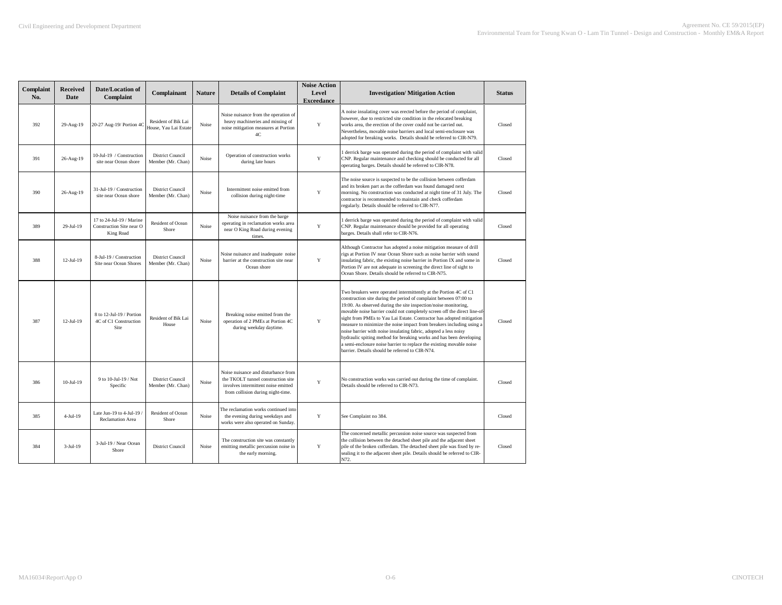| Complaint<br>No. | <b>Received</b><br>Date | <b>Date/Location of</b><br>Complaint                              | Complainant                                  | <b>Nature</b> | <b>Details of Complaint</b>                                                                                                                           | <b>Noise Action</b><br>Level<br><b>Exceedance</b> | <b>Investigation/ Mitigation Action</b>                                                                                                                                                                                                                                                                                                                                                                                                                                                                                                                                                                                                                                                                     | <b>Status</b> |
|------------------|-------------------------|-------------------------------------------------------------------|----------------------------------------------|---------------|-------------------------------------------------------------------------------------------------------------------------------------------------------|---------------------------------------------------|-------------------------------------------------------------------------------------------------------------------------------------------------------------------------------------------------------------------------------------------------------------------------------------------------------------------------------------------------------------------------------------------------------------------------------------------------------------------------------------------------------------------------------------------------------------------------------------------------------------------------------------------------------------------------------------------------------------|---------------|
| 392              | 29-Aug-19               | 20-27 Aug-19/ Portion 4C                                          | Resident of Bik Lai<br>House, Yau Lai Estate | Noise         | Noise nuisance from the operation of<br>heavy machineries and missing of<br>noise mitigation measures at Portion<br>4C                                | $\mathbf Y$                                       | A noise insulating cover was erected before the period of complaint,<br>however, due to restricted site condition in the relocated breaking<br>works area, the erection of the cover could not be carried out.<br>Nevertheless, movable noise barriers and local semi-enclosure was<br>adopted for breaking works. Details should be referred to CIR-N79.                                                                                                                                                                                                                                                                                                                                                   | Closed        |
| 391              | 26-Aug-19               | 10-Jul-19 / Construction<br>site near Ocean shore                 | District Council<br>Member (Mr. Chan)        | Noise         | Operation of construction works<br>during late hours                                                                                                  | Y                                                 | derrick barge was operated during the period of complaint with valid<br>CNP. Regular maintenance and checking should be conducted for all<br>operating barges. Details should be referred to CIR-N78.                                                                                                                                                                                                                                                                                                                                                                                                                                                                                                       | Closed        |
| 390              | 26-Aug-19               | 31-Jul-19 / Construction<br>site near Ocean shore                 | <b>District Council</b><br>Member (Mr. Chan) | Noise         | Intermittent noise emitted from<br>collision during night-time                                                                                        | Y                                                 | The noise source is suspected to be the collision between cofferdam<br>and its broken part as the cofferdam was found damaged next<br>morning. No construction was conducted at night time of 31 July. The<br>contractor is recommended to maintain and check cofferdam<br>regularly. Details should be referred to CIR-N77.                                                                                                                                                                                                                                                                                                                                                                                | Closed        |
| 389              | 29-Jul-19               | 17 to 24-Jul-19 / Marine<br>Construction Site near O<br>King Road | Resident of Ocean<br>Shore                   | Noise         | Noise nuisance from the barge<br>operating in reclamation works area<br>near O King Road during evening<br>times.                                     | Y                                                 | derrick barge was operated during the period of complaint with valid<br>CNP. Regular maintenance should be provided for all operating<br>barges. Details shall refer to CIR-N76.                                                                                                                                                                                                                                                                                                                                                                                                                                                                                                                            | Closed        |
| 388              | $12-Jul-19$             | 8-Jul-19 / Construction<br>Site near Ocean Shores                 | <b>District Council</b><br>Member (Mr. Chan) | Noise         | Noise nuisance and inadequate noise<br>barrier at the construction site near<br>Ocean shore                                                           | Y                                                 | Although Contractor has adopted a noise mitigation measure of drill<br>rigs at Portion IV near Ocean Shore such as noise barrier with sound<br>insulating fabric, the existing noise barrier in Portion IX and some in<br>Portion IV are not adequate in screening the direct line of sight to<br>Ocean Shore. Details should be referred to CIR-N75.                                                                                                                                                                                                                                                                                                                                                       | Closed        |
| 387              | $12-Jul-19$             | 8 to 12-Jul-19 / Portion<br>4C of C1 Construction<br>Site         | Resident of Bik Lai<br>House                 | Noise         | Breaking noise emitted from the<br>operation of 2 PMEs at Portion 4C<br>during weekday daytime.                                                       | Y                                                 | Two breakers were operated intermittently at the Portion 4C of C1<br>construction site during the period of complaint between 07:00 to<br>19:00. As observed during the site inspection/noise monitoring,<br>movable noise barrier could not completely screen off the direct line-of<br>sight from PMEs to Yau Lai Estate. Contractor has adopted mitigation<br>measure to minimize the noise impact from breakers including using a<br>noise barrier with noise insulating fabric, adopted a less noisy<br>hydraulic spiting method for breaking works and has been developing<br>a semi-enclosure noise barrier to replace the existing movable noise<br>barrier. Details should be referred to CIR-N74. | Closed        |
| 386              | $10-Jul-19$             | 9 to 10-Jul-19 / Not<br>Specific                                  | District Council<br>Member (Mr. Chan)        | Noise         | Noise nuisance and disturbance from<br>the TKOLT tunnel construction site<br>involves intermittent noise emitted<br>from collision during night-time. | Y                                                 | No construction works was carried out during the time of complaint.<br>Details should be referred to CIR-N73.                                                                                                                                                                                                                                                                                                                                                                                                                                                                                                                                                                                               | Closed        |
| 385              | $4-Jul-19$              | Late Jun-19 to 4-Jul-19<br>Reclamation Area                       | Resident of Ocean<br>Shore                   | Noise         | The reclamation works continued into<br>the evening during weekdays and<br>works were also operated on Sunday.                                        | Y                                                 | See Complaint no 384.                                                                                                                                                                                                                                                                                                                                                                                                                                                                                                                                                                                                                                                                                       | Closed        |
| 384              | $3-Jul-19$              | 3-Jul-19 / Near Ocean<br>Shore                                    | <b>District Council</b>                      | Noise         | The construction site was constantly<br>emitting metallic percussion noise in<br>the early morning.                                                   | Y                                                 | The concerned metallic percussion noise source was suspected from<br>the collision between the detached sheet pile and the adjacent sheet<br>pile of the broken cofferdam. The detached sheet pile was fixed by re-<br>sealing it to the adjacent sheet pile. Details should be referred to CIR-<br>N72.                                                                                                                                                                                                                                                                                                                                                                                                    | Closed        |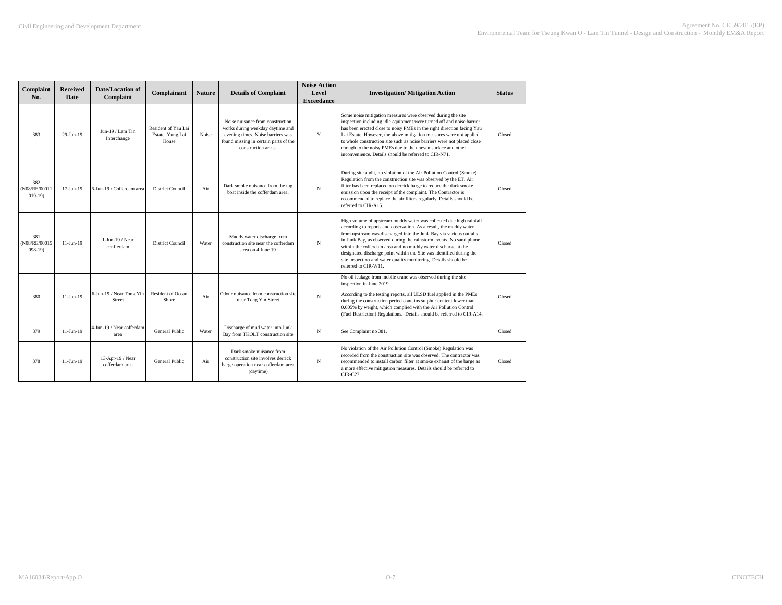| Complaint<br>No.                 | <b>Received</b><br>Date | Date/Location of<br>Complaint      | Complainant                                      | <b>Nature</b> | <b>Details of Complaint</b>                                                                                                                                               | <b>Noise Action</b><br>Level<br><b>Exceedance</b> | <b>Investigation/ Mitigation Action</b>                                                                                                                                                                                                                                                                                                                                                                                                                                                                                     | <b>Status</b> |
|----------------------------------|-------------------------|------------------------------------|--------------------------------------------------|---------------|---------------------------------------------------------------------------------------------------------------------------------------------------------------------------|---------------------------------------------------|-----------------------------------------------------------------------------------------------------------------------------------------------------------------------------------------------------------------------------------------------------------------------------------------------------------------------------------------------------------------------------------------------------------------------------------------------------------------------------------------------------------------------------|---------------|
| 383                              | $29-Jun-19$             | Jun-19 / Lam Tin<br>Interchange    | Resident of Yau Lai<br>Estate, Yung Lai<br>House | Noise         | Noise nuisance from construction<br>works during weekday daytime and<br>evening times. Noise barriers was<br>found missing in certain parts of the<br>construction areas. | Y                                                 | Some noise mitigation measures were observed during the site<br>inspection including idle equipment were turned off and noise barrier<br>has been erected close to noisy PMEs in the right direction facing Yau<br>Lai Estate. However, the above mitigation measures were not applied<br>to whole construction site such as noise barriers were not placed close<br>enough to the noisy PMEs due to the uneven surface and other<br>inconvenience. Details should be referred to CIR-N71.                                  | Closed        |
| 382<br>(N08/RE/0001)<br>$019-19$ | $17-Jun-19$             | 6-Jun-19 / Cofferdam area          | <b>District Council</b>                          | Air           | Dark smoke nuisance from the tug<br>boat inside the cofferdam area.                                                                                                       | $_{\rm N}$                                        | During site audit, no violation of the Air Pollution Control (Smoke)<br>Regulation from the construction site was observed by the ET. Air<br>filter has been replaced on derrick barge to reduce the dark smoke<br>emission upon the receipt of the complaint. The Contractor is<br>recommended to replace the air filters regularly. Details should be<br>referred to CIR-A15.                                                                                                                                             | Closed        |
| 381<br>(N08/RE/00015<br>$098-19$ | $11-Jun-19$             | $1$ -Jun-19 / Near<br>confferdam   | <b>District Council</b>                          | Water         | Muddy water discharge from<br>construction site near the cofferdam<br>area on 4 June 19                                                                                   | N                                                 | High volume of upstream muddy water was collected due high rainfall<br>according to reports and observation. As a result, the muddy water<br>from upstream was discharged into the Junk Bay via various outfalls<br>in Junk Bay, as observed during the rainstorm events. No sand plume<br>within the cofferdam area and no muddy water discharge at the<br>designated discharge point within the Site was identified during the<br>site inspection and water quality monitoring. Details should be<br>referred to CIR-W11. | Closed        |
| 380                              | $11-Jun-19$             | 6-Jun-19 / Near Tong Yin<br>Street | Resident of Ocean<br>Shore                       | Air           | Odour nuisance from construction site<br>near Tong Yin Street                                                                                                             | N                                                 | No oil leakage from mobile crane was observed during the site<br>inspection in June 2019.<br>According to the testing reports, all ULSD fuel applied in the PMEs<br>during the construction period contains sulphur content lower than<br>0.005% by weight, which complied with the Air Pollution Control<br>(Fuel Restriction) Regulations. Details should be referred to CIR-A14.                                                                                                                                         | Closed        |
| 379                              | $11-Jun-19$             | 4-Jun-19 / Near cofferdam<br>area  | General Public                                   | Water         | Discharge of mud water into Junk<br>Bay from TKOLT construction site                                                                                                      | N                                                 | See Complaint no 381.                                                                                                                                                                                                                                                                                                                                                                                                                                                                                                       | Closed        |
| 378                              | $11-Jun-19$             | 13-Apr-19 / Near<br>cofferdam area | General Public                                   | Air           | Dark smoke nuisance from<br>construction site involves derrick<br>barge operation near cofferdam area<br>(daytime)                                                        | N                                                 | No violation of the Air Pollution Control (Smoke) Regulation was<br>recorded from the construction site was observed. The contractor was<br>recommended to install carbon filter at smoke exhaust of the barge as<br>a more effective mitigation measures. Details should be referred to<br>CIR-C27.                                                                                                                                                                                                                        | Closed        |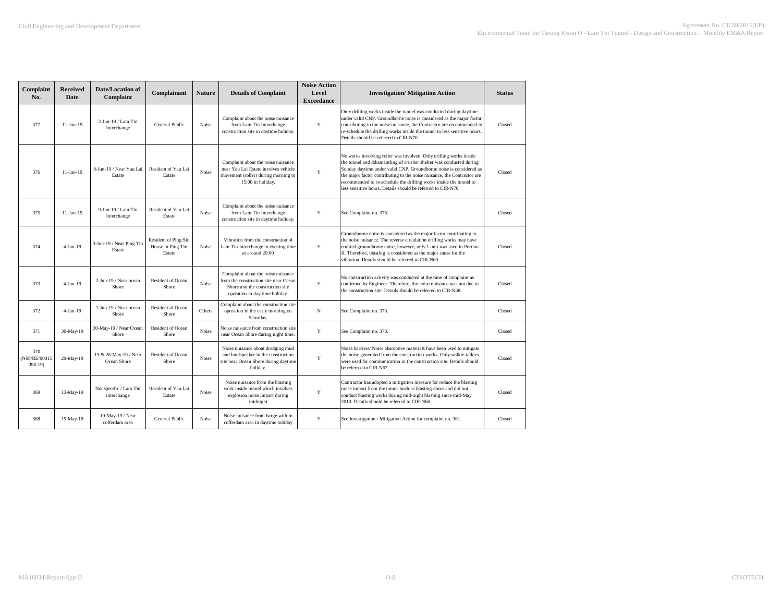| Complaint<br>No.                   | <b>Received</b><br>Date | Date/Location of<br>Complaint         | Complainant                                         | <b>Nature</b> | <b>Details of Complaint</b>                                                                                                                      | <b>Noise Action</b><br>Level<br><b>Exceedance</b> | <b>Investigation/ Mitigation Action</b>                                                                                                                                                                                                                                                                                                                                                                                          | <b>Status</b> |
|------------------------------------|-------------------------|---------------------------------------|-----------------------------------------------------|---------------|--------------------------------------------------------------------------------------------------------------------------------------------------|---------------------------------------------------|----------------------------------------------------------------------------------------------------------------------------------------------------------------------------------------------------------------------------------------------------------------------------------------------------------------------------------------------------------------------------------------------------------------------------------|---------------|
| 377                                | $11-Jun-19$             | $2$ -Jun-19 / Lam Tin<br>Interchange  | General Public                                      | Noise         | Complaint about the noise nuisance<br>from Lam Tin Interchange<br>construction site in daytime holiday.                                          | Y                                                 | Only drilling works inside the tunnel was conducted during daytime<br>under valid CNP. Groundborne noise is considered as the major factor<br>contributing to the noise nuisance, the Contractor are recommended to<br>re-schedule the drilling works inside the tunnel to less sensitive hours.<br>Details should be referred to CIR-N70.                                                                                       | Closed        |
| 376                                | $11-Jun-19$             | 9-Jun-19 / Near Yau Lai<br>Estate     | Resident of Yau Lai<br>Estate                       | Noise         | Complaint about the noise nuisance<br>near Yau Lai Estate involves vehicle<br>movement (roller) during morning to<br>15:00 in holiday.           | Y                                                 | No works involving roller was involved. Only drilling works inside<br>the tunnel and ddismantling of crusher shelter was conducted during<br>Sunday daytime under valid CNP. Groundborne noise is considered as<br>the major factor contributing to the noise nuisance, the Contractor are<br>recommended to re-schedule the drilling works inside the tunnel to<br>less sensitive hours. Details should be referred to CIR-N70. | Closed        |
| 375                                | $11-Jun-19$             | 9-Jun-19 / Lam Tin<br>Interchange     | Resident of Yau Lai<br>Estate                       | Noise         | Complaint about the noise nuisance<br>from Lam Tin Interchange<br>construction site in daytime holiday.                                          | Y                                                 | See Complaint no. 376.                                                                                                                                                                                                                                                                                                                                                                                                           | Closed        |
| 374                                | $4-Jun-19$              | 3-Jun-19 / Near Ping Tin<br>Estate    | Resident of Ping Sin<br>House in Ping Tin<br>Estate | Noise         | Vibration from the construction of<br>Lam Tin Interchange in evening time<br>at around 20:00                                                     | Y                                                 | Groundborne noise is considered as the major factor contributing to<br>the noise nuisance. The reverse circulation drilling works may have<br>emitted groundborne noise, however, only 1 unit was used in Portion<br>II. Therefore, blasting is considered as the major cause for the<br>vibration. Details should be referred to CIR-N69.                                                                                       | Closed        |
| 373                                | $4-Jun-19$              | 2-Jun-19 / Near ocean<br>Shore        | Resident of Ocean<br>Shore                          | Noise         | Complaint about the noise nuisance<br>from the construction site near Ocean<br>Shore and the construction site<br>operation in day time holiday. | Y                                                 | No construction activity was conducted at the time of complaint as<br>confirmed by Engineer. Therefore, the noise nuisance was not due to<br>the construction site. Details should be referred to CIR-N68.                                                                                                                                                                                                                       | Closed        |
| 372                                | $4-Jun-19$              | 1-Jun-19 / Near ocean<br>Shore        | Resident of Ocean<br>Shore                          | Others        | Complaint about the construction site<br>operation in the early morning on<br>Saturday.                                                          | N                                                 | See Complaint no. 373.                                                                                                                                                                                                                                                                                                                                                                                                           | Closed        |
| 371                                | 30-May-19               | 30-May-19 / Near Ocean<br>Shore       | Resident of Ocean<br>Shore                          | Noise         | Noise nuisance from construction site<br>near Ocean Shore during night time.                                                                     | Y                                                 | See Complaint no. 373.                                                                                                                                                                                                                                                                                                                                                                                                           | Closed        |
| 370<br>(N08/RE/00015<br>$(098-19)$ | 29-May-19               | 19 & 26-May-19 / Near<br>Ocean Shore  | Resident of Ocean<br>Shore                          | Noise         | Noise nuisance about dredging mud<br>and loudspeaker in the construction<br>site near Ocean Shore during daytime<br>holiday.                     | Y                                                 | Noise barriers/ Noise absorptive materials have been used to mitigate<br>the noise generated from the construction works. Only walkie-talkies<br>were used for communication in the construction site. Details should<br>be referred to CIR-N67.                                                                                                                                                                                 | Closed        |
| 369                                | 13-May-19               | Not specific / Lam Tin<br>interchange | Resident of Yau Lai<br>Estate                       | Noise         | Noise nuisance from the blasting<br>work inside tunnel which involves<br>explosion noise impact during<br>midnight                               | Y                                                 | Contractor has adopted a mitigation measure for reduce the blasting<br>noise impact from the tunnel such as blasting doors and did not<br>conduct blasting works during mid-night blasting since mid-May<br>2019. Details should be referred to CIR-N66.                                                                                                                                                                         | Closed        |
| 368                                | 19-May-19               | 19-May-19 / Near<br>cofferdam area    | General Public                                      | Noise         | Noise nuisance from barge with in<br>cofferdam area in daytime holiday                                                                           | Y                                                 | See Investigation / Mitigation Action for complaint no. 361.                                                                                                                                                                                                                                                                                                                                                                     | Closed        |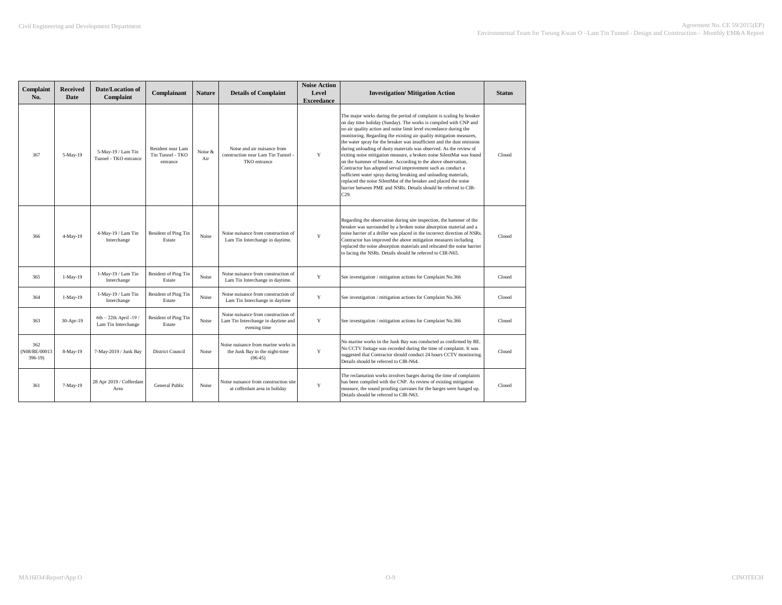| Complaint<br>No.                 | <b>Received</b><br>Date | Date/Location of<br>Complaint                   | Complainant                                       | <b>Nature</b>  | <b>Details of Complaint</b>                                                               | <b>Noise Action</b><br>Level<br><b>Exceedance</b> | <b>Investigation/ Mitigation Action</b>                                                                                                                                                                                                                                                                                                                                                                                                                                                                                                                                                                                                                                                                                                                                                                                                                         | <b>Status</b> |
|----------------------------------|-------------------------|-------------------------------------------------|---------------------------------------------------|----------------|-------------------------------------------------------------------------------------------|---------------------------------------------------|-----------------------------------------------------------------------------------------------------------------------------------------------------------------------------------------------------------------------------------------------------------------------------------------------------------------------------------------------------------------------------------------------------------------------------------------------------------------------------------------------------------------------------------------------------------------------------------------------------------------------------------------------------------------------------------------------------------------------------------------------------------------------------------------------------------------------------------------------------------------|---------------|
| 367                              | 5-May-19                | 5-May-19 / Lam Tin<br>Tunnel - TKO entrance     | Resident near Lam<br>Tin Tunnel - TKO<br>entrance | Noise &<br>Air | Noise and air nuisance from<br>construction near Lam Tin Tunnel -<br>TKO entrance         | Y                                                 | The major works during the period of complaint is scaling by breaker<br>on day time holiday (Sunday). The works is compiled with CNP and<br>no air quality action and noise limit level exceedance during the<br>monitoring. Regarding the existing air quality mitigation measures,<br>the water spray for the breaker was insufficient and the dust emission<br>during unloading of dusty materials was observed. As the review of<br>exiting noise mitigation measure, a broken noise SilentMat was found<br>on the hammer of breaker. According to the above observation,<br>Contractor has adopted serval improvement such as conduct a<br>sufficient water spray during breaking and unloading materials,<br>replaced the noise SilentMat of the breaker and placed the noise<br>barrier between PME and NSRs. Details should be referred to CIR-<br>C29. | Closed        |
| 366                              | 4-May-19                | 4-May-19 / Lam Tin<br>Interchange               | Resident of Ping Tin<br>Estate                    | <b>Noise</b>   | Noise nuisance from construction of<br>Lam Tin Interchange in daytime.                    | Y                                                 | Regarding the observation during site inspection, the hammer of the<br>breaker was surrounded by a broken noise absorption material and a<br>noise barrier of a driller was placed in the incorrect direction of NSRs.<br>Contractor has improved the above mitigation measures including<br>replaced the noise absorption materials and relocated the noise barrier<br>to facing the NSRs. Details should be referred to CIR-N65.                                                                                                                                                                                                                                                                                                                                                                                                                              | Closed        |
| 365                              | $1-May-19$              | 1-May-19 / Lam Tin<br>Interchange               | Resident of Ping Tin<br>Estate                    | Noise          | Noise nuisance from construction of<br>Lam Tin Interchange in daytime.                    | Y                                                 | See investigation / mitigation actions for Complaint No.366                                                                                                                                                                                                                                                                                                                                                                                                                                                                                                                                                                                                                                                                                                                                                                                                     | Closed        |
| 364                              | $1-May-19$              | 1-May-19 / Lam Tin<br>Interchange               | Resident of Ping Tin<br>Estate                    | Noise          | Noise nuisance from construction of<br>Lam Tin Interchange in daytime                     | Y                                                 | See investigation / mitigation actions for Complaint No.366                                                                                                                                                                                                                                                                                                                                                                                                                                                                                                                                                                                                                                                                                                                                                                                                     | Closed        |
| 363                              | 30-Apr-19               | $6th - 22th$ April -19 /<br>Lam Tin Interchange | <b>Resident of Ping Tin</b><br>Estate             | Noise          | Noise nuisance from construction of<br>Lam Tin Interchange in daytime and<br>evening time | Y                                                 | See investigation / mitigation actions for Complaint No.366                                                                                                                                                                                                                                                                                                                                                                                                                                                                                                                                                                                                                                                                                                                                                                                                     | Closed        |
| 362<br>(N08/RE/00013<br>$396-19$ | 8-May-19                | 7-May-2019 / Junk Bay                           | <b>District Council</b>                           | <b>Noise</b>   | Noise nuisance from marine works in<br>the Junk Bay in the night-time<br>(06:45)          | Y                                                 | No marine works in the Junk Bay was conducted as confirmed by RE.<br>No CCTV footage was recorded during the time of complaint. It was<br>suggested that Contractor should conduct 24 hours CCTV monitoring.<br>Details should be referred to CIR-N64.                                                                                                                                                                                                                                                                                                                                                                                                                                                                                                                                                                                                          | Closed        |
| 361                              | $7-May-19$              | 28 Apr 2019 / Cofferdam<br>Area                 | General Public                                    | Noise          | Noise nuisance from construction site<br>at cofferdam area in holiday                     | Y                                                 | The reclamation works involves barges during the time of complaints<br>has been compiled with the CNP. As review of existing mitigation<br>measure, the sound proofing canvases for the barges were hanged up.<br>Details should be referred to CIR-N63.                                                                                                                                                                                                                                                                                                                                                                                                                                                                                                                                                                                                        | Closed        |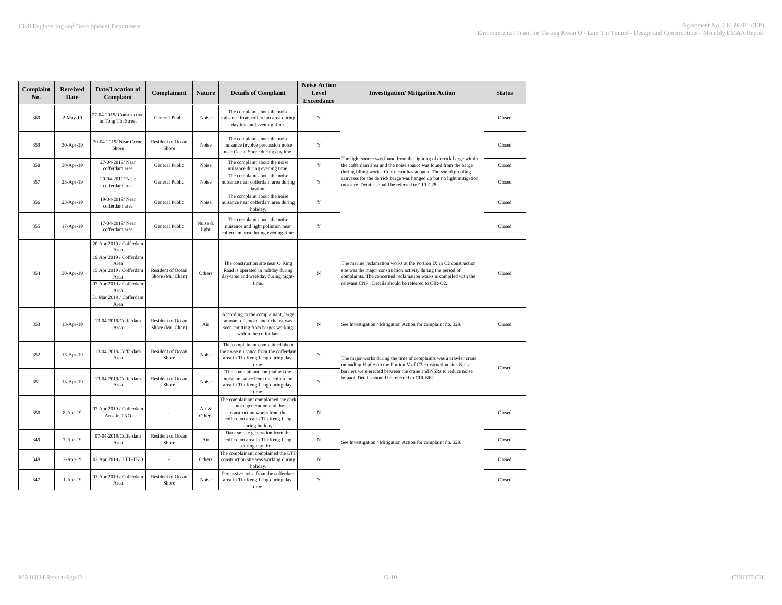| Complaint<br>No. | <b>Received</b><br>Date | Date/Location of<br>Complaint                                                                                                                                               | Complainant                           | <b>Nature</b>    | <b>Details of Complaint</b>                                                                                                                          | <b>Noise Action</b><br>Level<br><b>Exceedance</b> | <b>Investigation/ Mitigation Action</b>                                                                                                                                                                                                                       | <b>Status</b> |
|------------------|-------------------------|-----------------------------------------------------------------------------------------------------------------------------------------------------------------------------|---------------------------------------|------------------|------------------------------------------------------------------------------------------------------------------------------------------------------|---------------------------------------------------|---------------------------------------------------------------------------------------------------------------------------------------------------------------------------------------------------------------------------------------------------------------|---------------|
| 360              | 2-May-19                | 27-04-2019/ Construction<br>in Tong Tin Street                                                                                                                              | General Public                        | Noise            | The complaint about the noise<br>nuisance from cofferdam area during<br>daytime and evening-time.                                                    | Y                                                 |                                                                                                                                                                                                                                                               | Closed        |
| 359              | 30-Apr-19               | 30-04-2019/ Near Ocean<br>Shore                                                                                                                                             | <b>Resident of Ocean</b><br>Shore     | Noise            | The complaint about the noise<br>nuisance involve percussion noise<br>near Ocean Shore during daytime.                                               | Y                                                 |                                                                                                                                                                                                                                                               | Closed        |
| 358              | 30-Apr-19               | 27-04-2019/Near<br>cofferdam area                                                                                                                                           | General Public                        | Noise            | The complaint about the noise<br>nuisance during evening time.                                                                                       | $\mathbf Y$                                       | The light source was found from the lighting of derrick barge within<br>the cofferdam area and the noise source was found from the barge<br>during filling works. Contractor has adopted The sound proofing                                                   | Closed        |
| 357              | 23-Apr-19               | 20-04-2019/Near<br>cofferdam area                                                                                                                                           | General Public                        | Noise            | The complaint about the noise<br>nuisance near cofferdam area during<br>daytime.                                                                     | $\mathbf Y$                                       | canvases for the derrick barge was hanged up but no light mitigation<br>measure. Details should be referred to CIR-C28.                                                                                                                                       | Closed        |
| 356              | 23-Apr-19               | 19-04-2019/Near<br>cofferdam area                                                                                                                                           | General Public                        | Noise            | The complaint about the noise<br>nuisance near cofferdam area during<br>holiday.                                                                     | Y                                                 |                                                                                                                                                                                                                                                               | Closed        |
| 355              | 17-Apr-19               | 17-04-2019/Near<br>cofferdam area                                                                                                                                           | General Public                        | Noise &<br>light | The complaint about the noise<br>nuisance and light pollution near<br>cofferdam area during evening-time.                                            | Y                                                 |                                                                                                                                                                                                                                                               | Closed        |
| 354              | 30-Apr-19               | 20 Apr 2019 / Cofferdam<br>Area<br>19 Apr 2019 / Cofferdam<br>Area<br>15 Apr 2019 / Cofferdam<br>Area<br>07 Apr 2019 / Cofferdam<br>Area<br>31 Mar 2019 / Cofferdam<br>Area | Resident of Ocean<br>Shore (Mr. Chan) | Others           | The construction site near O King<br>Road is operated in holiday during<br>day-time and weekday during night-<br>time.                               | N                                                 | The marine reclamation works at the Portion IX in C2 construction<br>site was the major construction activity during the period of<br>complaints. The concerned reclamation works is compiled with the<br>relevant CNP. Details should be referred to CIR-O2. | Closed        |
| 353              | 13-Apr-19               | 13-04-2019/Cofferdam<br>Area                                                                                                                                                | Resident of Ocean<br>Shore (Mr. Chan) | Air              | According to the complainant, large<br>amount of smoke and exhaust was<br>seen emitting from barges working<br>within the cofferdam                  | N                                                 | See Investigation / Mitigation Action for complaint no. 329.                                                                                                                                                                                                  | Closed        |
| 352              | 13-Apr-19               | 13-04-2019/Cofferdam<br>Area                                                                                                                                                | Resident of Ocean<br>Shore            | Noise            | The complainant complained about<br>he noise nuisance from the cofferdam<br>area in Tiu Keng Leng during day-<br>time.                               | Y                                                 | The major works during the time of complaints was a crawler crane<br>unloading H piles to the Portion V of C2 construction site. Noise                                                                                                                        | Closed        |
| 351              | 13-Apr-19               | 13-04-2019/Cofferdam<br>Area                                                                                                                                                | Resident of Ocean<br>Shore            | Noise            | The complainant complained the<br>noise nuisance from the cofferdam<br>area in Tiu Keng Leng during day-<br>time.                                    | $\mathbf Y$                                       | barriers were erected between the crane and NSRs to reduce noise<br>impact. Details should be referred to CIR-N62.                                                                                                                                            |               |
| 350              | 8-Apr-19                | 07 Apr 2019 / Cofferdam<br>Area in TKO                                                                                                                                      |                                       | Air &<br>Others  | The complainant complained the dark<br>smoke generation and the<br>construction works from the<br>cofferdam area in Tiu Keng Leng<br>during holiday. | N                                                 |                                                                                                                                                                                                                                                               | Closed        |
| 349              | 7-Apr-19                | 07-04-2019/Cofferdam<br>Area                                                                                                                                                | Resident of Ocean<br>Shore            | Air              | Dark smoke generation from the<br>cofferdam area in Tiu Keng Leng<br>during day-time.                                                                | $_{\rm N}$                                        | See Investigation / Mitigation Action for complaint no. 329.                                                                                                                                                                                                  | Closed        |
| 348              | $2-Apr-19$              | 02 Apr 2019 / LTT-TKO                                                                                                                                                       | ä,                                    | Others           | The complainant complained the LTT<br>construction site was working during<br>holiday.                                                               | $_{\rm N}$                                        |                                                                                                                                                                                                                                                               | Closed        |
| 347              | $1-Apr-19$              | 01 Apr 2019 / Cofferdam<br>Area                                                                                                                                             | Resident of Ocean<br>Shore            | Noise            | Percussive noise from the cofferdam<br>area in Tiu Keng Leng during day-<br>time.                                                                    | Y                                                 |                                                                                                                                                                                                                                                               | Closed        |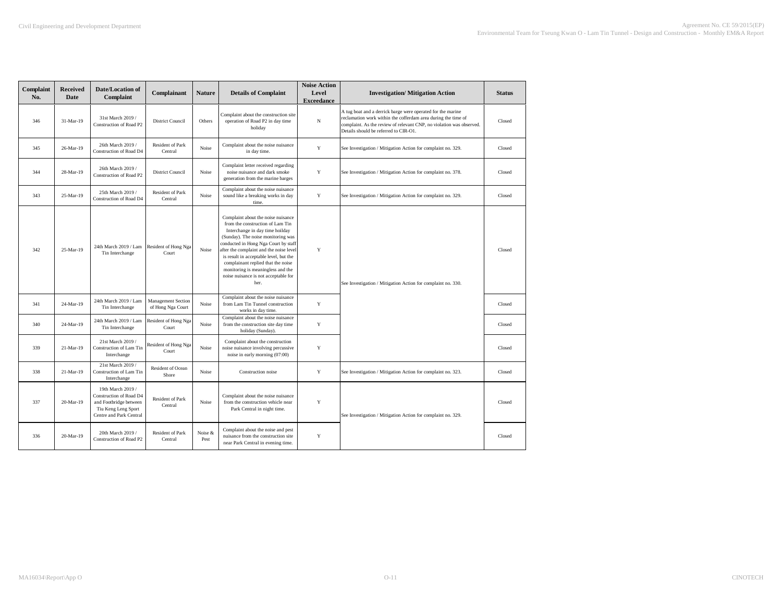| Complaint<br>No. | <b>Received</b><br><b>Date</b> | Date/Location of<br>Complaint                                                                                            | Complainant                                    | <b>Nature</b>   | <b>Details of Complaint</b>                                                                                                                                                                                                                                                                                                                                                                             | <b>Noise Action</b><br>Level<br><b>Exceedance</b> | <b>Investigation/ Mitigation Action</b>                                                                                                                                                                                                       | <b>Status</b> |
|------------------|--------------------------------|--------------------------------------------------------------------------------------------------------------------------|------------------------------------------------|-----------------|---------------------------------------------------------------------------------------------------------------------------------------------------------------------------------------------------------------------------------------------------------------------------------------------------------------------------------------------------------------------------------------------------------|---------------------------------------------------|-----------------------------------------------------------------------------------------------------------------------------------------------------------------------------------------------------------------------------------------------|---------------|
| 346              | 31-Mar-19                      | 31st March 2019 /<br>Construction of Road P2                                                                             | <b>District Council</b>                        | Others          | Complaint about the construction site<br>operation of Road P2 in day time<br>holiday                                                                                                                                                                                                                                                                                                                    | N                                                 | A tug boat and a derrick barge were operated for the marine<br>reclamation work within the cofferdam area during the time of<br>complaint. As the review of relevant CNP, no violation was observed.<br>Details should be referred to CIR-O1. | Closed        |
| 345              | 26-Mar-19                      | 26th March 2019 /<br>Construction of Road D4                                                                             | <b>Resident of Park</b><br>Central             | Noise           | Complaint about the noise nuisance<br>in day time.                                                                                                                                                                                                                                                                                                                                                      | Y                                                 | See Investigation / Mitigation Action for complaint no. 329.                                                                                                                                                                                  | Closed        |
| 344              | 28-Mar-19                      | 26th March 2019 /<br>Construction of Road P2                                                                             | <b>District Council</b>                        | Noise           | Complaint letter received regarding<br>noise nuisance and dark smoke<br>generation from the marine barges                                                                                                                                                                                                                                                                                               | Y                                                 | See Investigation / Mitigation Action for complaint no. 378.                                                                                                                                                                                  | Closed        |
| 343              | 25-Mar-19                      | 25th March 2019 /<br>Construction of Road D4                                                                             | Resident of Park<br>Central                    | Noise           | Complaint about the noise nuisance<br>sound like a breaking works in day<br>time.                                                                                                                                                                                                                                                                                                                       | Y                                                 | See Investigation / Mitigation Action for complaint no. 329.                                                                                                                                                                                  | Closed        |
| 342              | 25-Mar-19                      | 24th March 2019 / Lam<br>Tin Interchange                                                                                 | Resident of Hong Nga<br>Court                  | Noise           | Complaint about the noise nuisance<br>from the construction of Lam Tin<br>Interchange in day time hoilday<br>(Sunday). The noise monitoring was<br>conducted in Hong Nga Court by staff<br>after the complaint and the noise level<br>is result in acceptable level, but the<br>complainant replied that the noise<br>monitoring is meaningless and the<br>noise nuisance is not acceptable for<br>her. | Y                                                 | See Investigation / Mitigation Action for complaint no. 330.                                                                                                                                                                                  | Closed        |
| 341              | 24-Mar-19                      | 24th March 2019 / Lam<br>Tin Interchange                                                                                 | <b>Management Section</b><br>of Hong Nga Court | Noise           | Complaint about the noise nuisance<br>from Lam Tin Tunnel construction<br>works in day time.                                                                                                                                                                                                                                                                                                            | Y                                                 |                                                                                                                                                                                                                                               | Closed        |
| 340              | 24-Mar-19                      | 24th March 2019 / Lam<br>Tin Interchange                                                                                 | Resident of Hong Nga<br>Court                  | Noise           | Complaint about the noise nuisance<br>from the construction site day time<br>holiday (Sunday).                                                                                                                                                                                                                                                                                                          | $\mathbf Y$                                       |                                                                                                                                                                                                                                               | Closed        |
| 339              | 21-Mar-19                      | 21st March 2019 /<br>Construction of Lam Tin<br>Interchange                                                              | Resident of Hong Nga<br>Court                  | Noise           | Complaint about the construction<br>noise nuisance involving percussive<br>noise in early morning (07:00)                                                                                                                                                                                                                                                                                               | Y                                                 |                                                                                                                                                                                                                                               | Closed        |
| 338              | 21-Mar-19                      | 21st March 2019 /<br>Construction of Lam Tin<br>Interchange                                                              | Resident of Ocean<br>Shore                     | Noise           | Construction noise                                                                                                                                                                                                                                                                                                                                                                                      | Y                                                 | See Investigation / Mitigation Action for complaint no. 323.                                                                                                                                                                                  | Closed        |
| 337              | 20-Mar-19                      | 19th March 2019 /<br>Construction of Road D4<br>and Footbridge between<br>Tiu Keng Leng Sport<br>Centre and Park Central | Resident of Park<br>Central                    | Noise           | Complaint about the noise nuisance<br>from the construction vehicle near<br>Park Central in night time.                                                                                                                                                                                                                                                                                                 | $\mathbf Y$                                       | See Investigation / Mitigation Action for complaint no. 329.                                                                                                                                                                                  | Closed        |
| 336              | 20-Mar-19                      | 20th March 2019 /<br>Construction of Road P2                                                                             | Resident of Park<br>Central                    | Noise &<br>Pest | Complaint about the noise and pest<br>nuisance from the construction site<br>near Park Central in evening time.                                                                                                                                                                                                                                                                                         | Y                                                 |                                                                                                                                                                                                                                               | Closed        |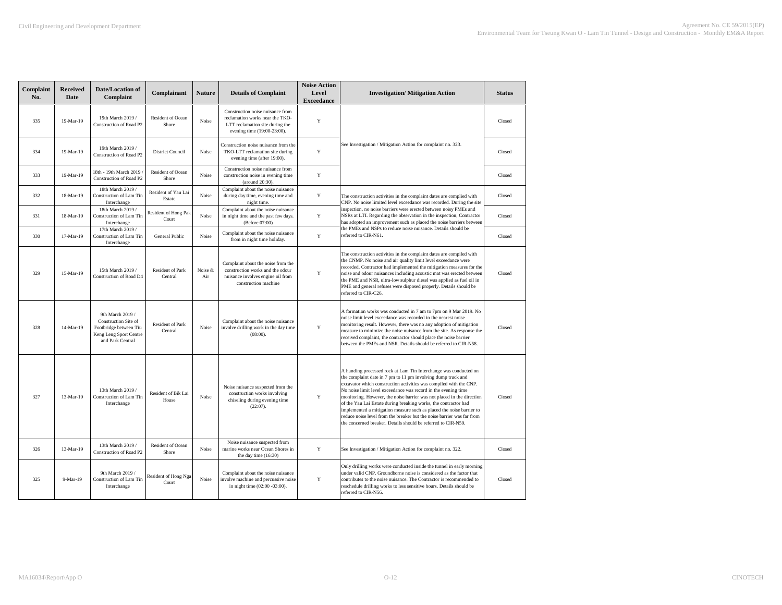| Complaint<br>No. | <b>Received</b><br><b>Date</b> | Date/Location of<br>Complaint                                                                                    | Complainant                        | <b>Nature</b>  | <b>Details of Complaint</b>                                                                                                           | <b>Noise Action</b><br>Level<br><b>Exceedance</b> | <b>Investigation/Mitigation Action</b>                                                                                                                                                                                                                                                                                                                                                                                                                                                                                                                                                                                                   | <b>Status</b> |
|------------------|--------------------------------|------------------------------------------------------------------------------------------------------------------|------------------------------------|----------------|---------------------------------------------------------------------------------------------------------------------------------------|---------------------------------------------------|------------------------------------------------------------------------------------------------------------------------------------------------------------------------------------------------------------------------------------------------------------------------------------------------------------------------------------------------------------------------------------------------------------------------------------------------------------------------------------------------------------------------------------------------------------------------------------------------------------------------------------------|---------------|
| 335              | 19-Mar-19                      | 19th March 2019 /<br>Construction of Road P2                                                                     | Resident of Ocean<br>Shore         | Noise          | Construction noise nuisance from<br>reclamation works near the TKO-<br>LTT reclamation site during the<br>evening time (19:00-23:00). | $\mathbf Y$                                       |                                                                                                                                                                                                                                                                                                                                                                                                                                                                                                                                                                                                                                          | Closed        |
| 334              | $19-Mar-19$                    | 19th March 2019 /<br>Construction of Road P2                                                                     | District Council                   | Noise          | Construction noise nuisance from the<br>TKO-LTT reclamation site during<br>evening time (after 19:00).                                | Y                                                 | See Investigation / Mitigation Action for complaint no. 323.                                                                                                                                                                                                                                                                                                                                                                                                                                                                                                                                                                             | Closed        |
| 333              | 19-Mar-19                      | 18th - 19th March 2019 /<br>Construction of Road P2                                                              | Resident of Ocean<br>Shore         | Noise          | Construction noise nuisance from<br>construction noise in evening time<br>(around 20:30).                                             | Y                                                 |                                                                                                                                                                                                                                                                                                                                                                                                                                                                                                                                                                                                                                          | Closed        |
| 332              | 18-Mar-19                      | 18th March 2019 /<br>Construction of Lam Tin<br>Interchange                                                      | Resident of Yau Lai<br>Estate      | Noise          | Complaint about the noise nuisance<br>during day time, evening time and<br>night time.                                                | Y                                                 | The construction activities in the complaint dates are complied with<br>CNP. No noise limited level exceedance was recorded. During the site                                                                                                                                                                                                                                                                                                                                                                                                                                                                                             | Closed        |
| 331              | 18-Mar-19                      | 18th March 2019 /<br>Construction of Lam Tin<br>Interchange                                                      | Resident of Hong Pak<br>Court      | Noise          | Complaint about the noise nuisance<br>in night time and the past few days.<br>(Before 07:00)                                          | $\mathbf Y$                                       | inspection, no noise barriers were erected between noisy PMEs and<br>NSRs at LTI. Regarding the observation in the inspection, Contractor<br>has adopted an improvement such as placed the noise barriers between                                                                                                                                                                                                                                                                                                                                                                                                                        | Closed        |
| 330              | 17-Mar-19                      | 17th March 2019 /<br>Construction of Lam Tin<br>Interchange                                                      | General Public                     | Noise          | Complaint about the noise nuisance<br>from in night time holiday.                                                                     | Y                                                 | the PMEs and NSPs to reduce noise nuisance. Details should be<br>referred to CIR-N61.                                                                                                                                                                                                                                                                                                                                                                                                                                                                                                                                                    | Closed        |
| 329              | 15-Mar-19                      | 15th March 2019 /<br>Construction of Road D4                                                                     | Resident of Park<br>Central        | Noise &<br>Air | Complaint about the noise from the<br>construction works and the odour<br>nuisance involves engine oil from<br>construction machine   | $\mathbf Y$                                       | The construction activities in the complaint dates are compiled with<br>the CNMP. No noise and air quality limit level exceedance were<br>recorded. Contractor had implemented the mitigation measures for the<br>noise and odour nuisances including acoustic mat was erected between<br>the PME and NSR, ultra-low sulphur diesel was applied as fuel oil in<br>PME and general refuses were disposed properly. Details should be<br>referred to CIR-C26.                                                                                                                                                                              | Closed        |
| 328              | 14-Mar-19                      | 9th March 2019 /<br>Construction Site of<br>Footbridge between Tiu<br>Keng Leng Sport Centre<br>and Park Central | <b>Resident of Park</b><br>Central | Noise          | Complaint about the noise nuisance<br>involve drilling work in the day time<br>$(08:00)$ .                                            | Y                                                 | A formation works was conducted in 7 am to 7pm on 9 Mar 2019. No<br>noise limit level exceedance was recorded in the nearest noise<br>monitoring result. However, there was no any adoption of mitigation<br>measure to minimize the noise nuisance from the site. As response the<br>received complaint, the contractor should place the noise barrier<br>between the PMEs and NSR. Details should be referred to CIR-N58.                                                                                                                                                                                                              | Closed        |
| 327              | 13-Mar-19                      | 13th March 2019 /<br>Construction of Lam Tin<br>Interchange                                                      | Resident of Bik Lai<br>House       | Noise          | Noise nuisance suspected from the<br>construction works involving<br>chiseling during evening time<br>$(22:07)$ .                     | Y                                                 | A handing processed rock at Lam Tin Interchange was conducted on<br>the complaint date in 7 pm to 11 pm involving dump truck and<br>excavator which construction activities was compiled with the CNP.<br>No noise limit level exceedance was record in the evening time<br>monitoring. However, the noise barrier was not placed in the direction<br>of the Yau Lai Estate during breaking works, the contractor had<br>implemented a mitigation measure such as placed the noise barrier to<br>reduce noise level from the breaker but the noise barrier was far from<br>the concerned breaker. Details should be referred to CIR-N59. | Closed        |
| 326              | 13-Mar-19                      | 13th March 2019 /<br>Construction of Road P2                                                                     | Resident of Ocean<br>Shore         | Noise          | Noise nuisance suspected from<br>marine works near Ocean Shores in<br>the day time (16:30)                                            | $\mathbf Y$                                       | See Investigation / Mitigation Action for complaint no. 322.                                                                                                                                                                                                                                                                                                                                                                                                                                                                                                                                                                             | Closed        |
| 325              | 9-Mar-19                       | 9th March 2019 /<br>Construction of Lam Tin<br>Interchange                                                       | Resident of Hong Nga<br>Court      | Noise          | Complaint about the noise nuisance<br>involve machine and percussive noise<br>in night time (02:00 -03:00).                           | $\mathbf Y$                                       | Only drilling works were conducted inside the tunnel in early morning<br>under valid CNP. Groundborne noise is considered as the factor that<br>contributes to the noise nuisance. The Contractor is recommended to<br>reschedule drilling works to less sensitive hours. Details should be<br>referred to CIR-N56.                                                                                                                                                                                                                                                                                                                      | Closed        |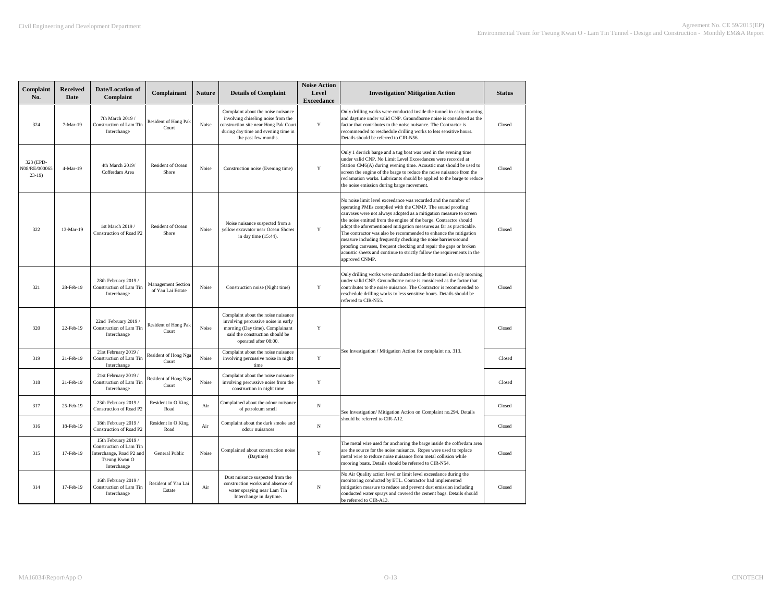| Complaint<br>No.                      | <b>Received</b><br>Date | Date/Location of<br>Complaint                                                                               | Complainant                             | <b>Nature</b> | <b>Details of Complaint</b>                                                                                                                                                      | <b>Noise Action</b><br>Level<br><b>Exceedance</b> | <b>Investigation/ Mitigation Action</b>                                                                                                                                                                                                                                                                                                                                                                                                                                                                                                                                                                                                                | <b>Status</b> |
|---------------------------------------|-------------------------|-------------------------------------------------------------------------------------------------------------|-----------------------------------------|---------------|----------------------------------------------------------------------------------------------------------------------------------------------------------------------------------|---------------------------------------------------|--------------------------------------------------------------------------------------------------------------------------------------------------------------------------------------------------------------------------------------------------------------------------------------------------------------------------------------------------------------------------------------------------------------------------------------------------------------------------------------------------------------------------------------------------------------------------------------------------------------------------------------------------------|---------------|
| 324                                   | 7-Mar-19                | 7th March 2019 /<br>Construction of Lam Tin<br>Interchange                                                  | <b>Resident of Hong Pak</b><br>Court    | Noise         | Complaint about the noise nuisance<br>involving chiseling noise from the<br>construction site near Hong Pak Court<br>during day time and evening time in<br>the past few months. | Y                                                 | Only drilling works were conducted inside the tunnel in early morning<br>and daytime under valid CNP. Groundborne noise is considered as the<br>factor that contributes to the noise nuisance. The Contractor is<br>recommended to reschedule drilling works to less sensitive hours.<br>Details should be referred to CIR-N56.                                                                                                                                                                                                                                                                                                                        | Closed        |
| 323 (EPD-<br>N08/RE/000065<br>$23-19$ | 4-Mar-19                | 4th March 2019/<br>Cofferdam Area                                                                           | Resident of Ocean<br>Shore              | Noise         | Construction noise (Evening time)                                                                                                                                                | Y                                                 | Only 1 derrick barge and a tug boat was used in the evening time<br>under valid CNP. No Limit Level Exceedances were recorded at<br>Station CM6(A) during evening time. Acoustic mat should be used to<br>screen the engine of the barge to reduce the noise nuisance from the<br>reclamation works. Lubricants should be applied to the barge to reduce<br>the noise emission during barge movement.                                                                                                                                                                                                                                                  | Closed        |
| 322                                   | 13-Mar-19               | 1st March 2019 /<br>Construction of Road P2                                                                 | Resident of Ocean<br>Shore              | Noise         | Noise nuisance suspected from a<br>yellow excavator near Ocean Shores<br>in day time (15:44).                                                                                    | Y                                                 | No noise limit level exceedance was recorded and the number of<br>operating PMEs complied with the CNMP. The sound proofing<br>canvases were not always adopted as a mitigation measure to screen<br>the noise emitted from the engine of the barge. Contractor should<br>adopt the aforementioned mitigation measures as far as practicable.<br>The contractor was also be recommended to enhance the mitigation<br>measure including frequently checking the noise barriers/sound<br>proofing canvases, frequent checking and repair the gaps or broken<br>acoustic sheets and continue to strictly follow the requirements in the<br>approved CNMP. | Closed        |
| 321                                   | 28-Feb-19               | 28th February 2019<br>Construction of Lam Tin<br>Interchange                                                | Management Section<br>of Yau Lai Estate | Noise         | Construction noise (Night time)                                                                                                                                                  | Y                                                 | Only drilling works were conducted inside the tunnel in early morning<br>under valid CNP. Groundborne noise is considered as the factor that<br>contributes to the noise nuisance. The Contractor is recommended to<br>reschedule drilling works to less sensitive hours. Details should be<br>referred to CIR-N55.                                                                                                                                                                                                                                                                                                                                    | Closed        |
| 320                                   | 22-Feb-19               | 22nd February 2019<br>Construction of Lam Tin<br>Interchange                                                | Resident of Hong Pak<br>Court           | Noise         | Complaint about the noise nuisance<br>involving percussive noise in early<br>morning (Day time). Complainant<br>said the construction should be<br>operated after 08:00.         | Y                                                 |                                                                                                                                                                                                                                                                                                                                                                                                                                                                                                                                                                                                                                                        | Closed        |
| 319                                   | 21-Feb-19               | 21st February 2019 /<br>Construction of Lam Tin<br>Interchange                                              | Resident of Hong Nga<br>Court           | Noise         | Complaint about the noise nuisance<br>involving percussive noise in night<br>time                                                                                                | $\mathbf Y$                                       | See Investigation / Mitigation Action for complaint no. 313.                                                                                                                                                                                                                                                                                                                                                                                                                                                                                                                                                                                           | Closed        |
| 318                                   | 21-Feb-19               | 21st February 2019 /<br>Construction of Lam Tin<br>Interchange                                              | Resident of Hong Nga<br>Court           | Noise         | Complaint about the noise nuisance<br>involving percussive noise from the<br>construction in night time                                                                          | Y                                                 |                                                                                                                                                                                                                                                                                                                                                                                                                                                                                                                                                                                                                                                        | Closed        |
| 317                                   | 25-Feb-19               | 23th February 2019 /<br>Construction of Road P2                                                             | Resident in O King<br>Road              | Air           | Complained about the odour nuisance<br>of petroleum smell                                                                                                                        | $_{\rm N}$                                        | See Investigation/ Mitigation Action on Complaint no.294. Details                                                                                                                                                                                                                                                                                                                                                                                                                                                                                                                                                                                      | Closed        |
| 316                                   | 18-Feb-19               | 18th February 2019 /<br>Construction of Road P2                                                             | Resident in O King<br>Road              | Air           | Complaint about the dark smoke and<br>odour nuisances                                                                                                                            | $_{\rm N}$                                        | should be referred to CIR-A12.                                                                                                                                                                                                                                                                                                                                                                                                                                                                                                                                                                                                                         | Closed        |
| 315                                   | 17-Feb-19               | 15th February 2019 /<br>Construction of Lam Tin<br>Interchange, Road P2 and<br>Tseung Kwan O<br>Interchange | General Public                          | Noise         | Complained about construction noise<br>(Daytime)                                                                                                                                 | Y                                                 | The metal wire used for anchoring the barge inside the cofferdam area<br>are the source for the noise nuisance. Ropes were used to replace<br>metal wire to reduce noise nuisance from metal collision while<br>mooring boats. Details should be referred to CIR-N54.                                                                                                                                                                                                                                                                                                                                                                                  | Closed        |
| 314                                   | 17-Feb-19               | 16th February 2019 /<br>Construction of Lam Tin<br>Interchange                                              | Resident of Yau Lai<br>Estate           | Air           | Dust nuisance suspected from the<br>construction works and absence of<br>water spraying near Lam Tin<br>Interchange in daytime.                                                  | N                                                 | No Air Quality action level or limit level exceedance during the<br>monitoring conducted by ETL. Contractor had implemented<br>mitigation measure to reduce and prevent dust emission including<br>conducted water sprays and covered the cement bags. Details should<br>be referred to CIR-A13.                                                                                                                                                                                                                                                                                                                                                       | Closed        |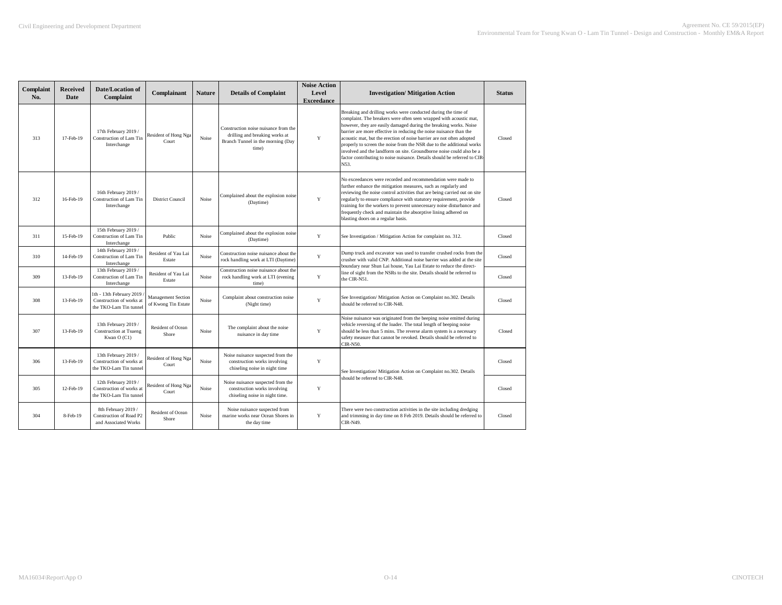| Complaint<br>No. | <b>Received</b><br><b>Date</b> | <b>Date/Location of</b><br>Complaint                                           | Complainant                               | <b>Nature</b> | <b>Details of Complaint</b>                                                                                          | <b>Noise Action</b><br>Level<br><b>Exceedance</b> | <b>Investigation/Mitigation Action</b>                                                                                                                                                                                                                                                                                                                                                                                                                                                                                                                                                        | <b>Status</b> |
|------------------|--------------------------------|--------------------------------------------------------------------------------|-------------------------------------------|---------------|----------------------------------------------------------------------------------------------------------------------|---------------------------------------------------|-----------------------------------------------------------------------------------------------------------------------------------------------------------------------------------------------------------------------------------------------------------------------------------------------------------------------------------------------------------------------------------------------------------------------------------------------------------------------------------------------------------------------------------------------------------------------------------------------|---------------|
| 313              | 17-Feb-19                      | 17th February 2019 /<br>Construction of Lam Tin<br>Interchange                 | Resident of Hong Nga<br>Court             | Noise         | Construction noise nuisance from the<br>drilling and breaking works at<br>Branch Tunnel in the morning (Day<br>time) | Y                                                 | Breaking and drilling works were conducted during the time of<br>complaint. The breakers were often seen wrapped with acoustic mat,<br>however, they are easily damaged during the breaking works. Noise<br>barrier are more effective in reducing the noise nuisance than the<br>acoustic mat, but the erection of noise barrier are not often adopted<br>properly to screen the noise from the NSR due to the additional works<br>involved and the landform on site. Groundborne noise could also be a<br>factor contributing to noise nuisance. Details should be referred to CIR-<br>N53. | Closed        |
| 312              | 16-Feb-19                      | 16th February 2019 /<br>Construction of Lam Tin<br>Interchange                 | <b>District Council</b>                   | Noise         | Complained about the explosion noise<br>(Daytime)                                                                    | Y                                                 | No exceedances were recorded and recommendation were made to<br>further enhance the mitigation measures, such as regularly and<br>reviewing the noise control activities that are being carried out on site<br>regularly to ensure compliance with statutory requirement, provide<br>training for the workers to prevent unnecessary noise disturbance and<br>frequently check and maintain the absorptive lining adhered on<br>blasting doors on a regular basis.                                                                                                                            | Closed        |
| 311              | 15-Feb-19                      | 15th February 2019 /<br>Construction of Lam Tin<br>Interchange                 | Public                                    | Noise         | Complained about the explosion noise<br>(Daytime)                                                                    | Y                                                 | See Investigation / Mitigation Action for complaint no. 312.                                                                                                                                                                                                                                                                                                                                                                                                                                                                                                                                  | Closed        |
| 310              | 14-Feb-19                      | 14th February 2019 /<br>Construction of Lam Tin<br>Interchange                 | Resident of Yau Lai<br>Estate             | <b>Noise</b>  | Construction noise nuisance about the<br>rock handling work at LTI (Daytime)                                         | Y                                                 | Dump truck and excavator was used to transfer crushed rocks from the<br>crusher with valid CNP. Additional noise barrier was added at the site<br>boundary near Shun Lai house, Yau Lai Estate to reduce the direct-                                                                                                                                                                                                                                                                                                                                                                          | Closed        |
| 309              | 13-Feb-19                      | 13th February 2019 /<br>Construction of Lam Tin<br>Interchange                 | Resident of Yau Lai<br>Estate             | Noise         | Construction noise nuisance about the<br>rock handling work at LTI (evening<br>time)                                 | Y                                                 | line of sight from the NSRs to the site. Details should be referred to<br>the CIR-N51.                                                                                                                                                                                                                                                                                                                                                                                                                                                                                                        | Closed        |
| 308              | 13-Feb-19                      | 1th - 13th February 2019<br>Construction of works at<br>the TKO-Lam Tin tunnel | Management Section<br>of Kwong Tin Estate | Noise         | Complaint about construction noise<br>(Night time)                                                                   | Y                                                 | See Investigation/ Mitigation Action on Complaint no.302. Details<br>should be referred to CIR-N48.                                                                                                                                                                                                                                                                                                                                                                                                                                                                                           | Closed        |
| 307              | 13-Feb-19                      | 13th February 2019 /<br>Construction at Tsueng<br>Kwan O (C1)                  | Resident of Ocean<br>Shore                | <b>Noise</b>  | The complaint about the noise<br>nuisance in day time                                                                | Y                                                 | Noise nuisance was originated from the beeping noise emitted during<br>vehicle reversing of the loader. The total length of beeping noise<br>should be less than 5 mins. The reverse alarm system is a necessary<br>safety measure that cannot be revoked. Details should be referred to<br><b>CIR-N50.</b>                                                                                                                                                                                                                                                                                   | Closed        |
| 306              | 13-Feb-19                      | 13th February 2019 /<br>Construction of works at<br>the TKO-Lam Tin tunnel     | Resident of Hong Nga<br>Court             | Noise         | Noise nuisance suspected from the<br>construction works involving<br>chiseling noise in night time                   | Y                                                 | See Investigation/ Mitigation Action on Complaint no.302. Details                                                                                                                                                                                                                                                                                                                                                                                                                                                                                                                             | Closed        |
| 305              | 12-Feb-19                      | 12th February 2019 /<br>Construction of works at<br>the TKO-Lam Tin tunnel     | Resident of Hong Nga<br>Court             | Noise         | Noise nuisance suspected from the<br>construction works involving<br>chiseling noise in night time.                  | Y                                                 | should be referred to CIR-N48.                                                                                                                                                                                                                                                                                                                                                                                                                                                                                                                                                                | Closed        |
| 304              | 8-Feb-19                       | 8th February 2019 /<br>Construction of Road P2<br>and Associated Works         | Resident of Ocean<br>Shore                | Noise         | Noise nuisance suspected from<br>marine works near Ocean Shores in<br>the day time                                   | Y                                                 | There were two construction activities in the site including dredging<br>and trimming in day time on 8 Feb 2019. Details should be referred to<br>CIR-N49.                                                                                                                                                                                                                                                                                                                                                                                                                                    | Closed        |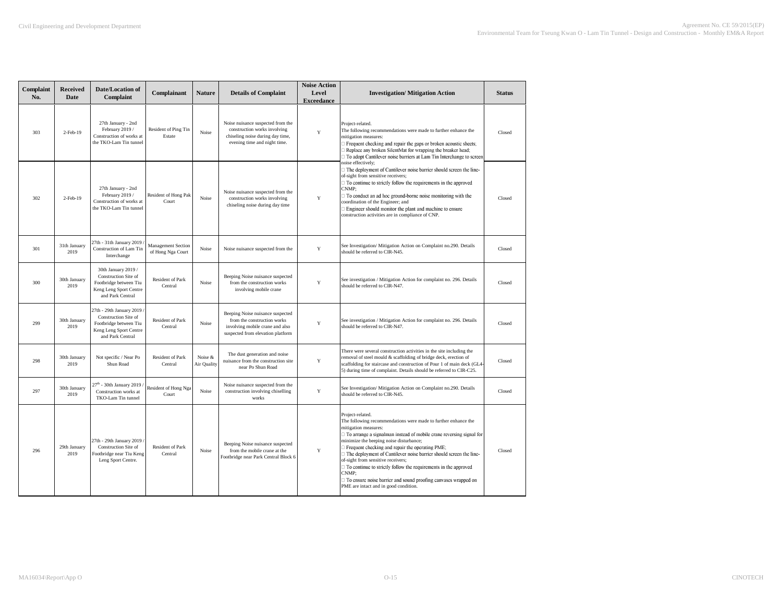| Complaint<br>No. | <b>Received</b><br>Date | Date/Location of<br>Complaint                                                                                            | Complainant                             | Nature                 | <b>Details of Complaint</b>                                                                                                             | <b>Noise Action</b><br>Level<br><b>Exceedance</b> | <b>Investigation/Mitigation Action</b>                                                                                                                                                                                                                                                                                                                                                                                                                                                                                                                                                        | <b>Status</b> |
|------------------|-------------------------|--------------------------------------------------------------------------------------------------------------------------|-----------------------------------------|------------------------|-----------------------------------------------------------------------------------------------------------------------------------------|---------------------------------------------------|-----------------------------------------------------------------------------------------------------------------------------------------------------------------------------------------------------------------------------------------------------------------------------------------------------------------------------------------------------------------------------------------------------------------------------------------------------------------------------------------------------------------------------------------------------------------------------------------------|---------------|
| 303              | 2-Feb-19                | 27th January - 2nd<br>February 2019 /<br>Construction of works at<br>the TKO-Lam Tin tunnel                              | Resident of Ping Tin<br>Estate          | Noise                  | Noise nuisance suspected from the<br>construction works involving<br>chiseling noise during day time,<br>evening time and night time.   | $\mathbf Y$                                       | Project-related.<br>The following recommendations were made to further enhance the<br>mitigation measures:<br>Frequent checking and repair the gaps or broken acoustic sheets;<br>Replace any broken SilentMat for wrapping the breaker head;<br>□ To adopt Cantilever noise barriers at Lam Tin Interchange to screen                                                                                                                                                                                                                                                                        | Closed        |
| 302              | 2-Feb-19                | 27th January - 2nd<br>February 2019 /<br>Construction of works at<br>the TKO-Lam Tin tunnel                              | Resident of Hong Pak<br>Court           | Noise                  | Noise nuisance suspected from the<br>construction works involving<br>chiseling noise during day time                                    | Y                                                 | noise effectively;<br>$\Box$ The deployment of Cantilever noise barrier should screen the line-<br>of-sight from sensitive receivers;<br>$\Box$ To continue to strictly follow the requirements in the approved<br>CNMP:<br>To conduct an ad hoc ground-borne noise monitoring with the<br>coordination of the Engineer; and<br>Engineer should monitor the plant and machine to ensure<br>construction activities are in compliance of CNP.                                                                                                                                                  | Closed        |
| 301              | 31th January<br>2019    | 27th - 31th January 2019<br>Construction of Lam Tin<br>Interchange                                                       | Management Section<br>of Hong Nga Court | Noise                  | Noise nuisance suspected from the                                                                                                       | Y                                                 | See Investigation/ Mitigation Action on Complaint no.290. Details<br>should be referred to CIR-N45.                                                                                                                                                                                                                                                                                                                                                                                                                                                                                           | Closed        |
| 300              | 30th January<br>2019    | 30th January 2019 /<br>Construction Site of<br>Footbridge between Tiu<br>Keng Leng Sport Centre<br>and Park Central      | <b>Resident of Park</b><br>Central      | Noise                  | Beeping Noise nuisance suspected<br>from the construction works<br>involving mobile crane                                               | Y                                                 | See investigation / Mitigation Action for complaint no. 296. Details<br>should be referred to CIR-N47.                                                                                                                                                                                                                                                                                                                                                                                                                                                                                        | Closed        |
| 299              | 30th January<br>2019    | 27th - 29th January 2019<br>Construction Site of<br>Footbridge between Tiu<br>Keng Leng Sport Centre<br>and Park Central | Resident of Park<br>Central             | Noise                  | Beeping Noise nuisance suspected<br>from the construction works<br>involving mobile crane and also<br>suspected from elevation platform | Y                                                 | See investigation / Mitigation Action for complaint no. 296. Details<br>should be referred to CIR-N47.                                                                                                                                                                                                                                                                                                                                                                                                                                                                                        | Closed        |
| 298              | 30th January<br>2019    | Not specific / Near Po<br>Shun Road                                                                                      | Resident of Park<br>Central             | Noise &<br>Air Quality | The dust generation and noise<br>nuisance from the construction site<br>near Po Shun Road                                               | $\mathbf Y$                                       | There were several construction activities in the site including the<br>removal of steel mould & scaffolding of bridge deck, erection of<br>scaffolding for staircase and construction of Pour 1 of main deck (GL4<br>5) during time of complaint. Details should be referred to CIR-C25.                                                                                                                                                                                                                                                                                                     | Closed        |
| 297              | 30th January<br>2019    | 27 <sup>th</sup> - 30th January 2019<br>Construction works at<br>TKO-Lam Tin tunnel                                      | Resident of Hong Nga<br>Court           | Noise                  | Noise nuisance suspected from the<br>construction involving chiselling<br>works                                                         | $\mathbf Y$                                       | See Investigation/ Mitigation Action on Complaint no.290. Details<br>should be referred to CIR-N45.                                                                                                                                                                                                                                                                                                                                                                                                                                                                                           | Closed        |
| 296              | 29th January<br>2019    | 27th - 29th January 2019<br>Construction Site of<br>Footbridge near Tiu Keng<br>Leng Sport Centre.                       | Resident of Park<br>Central             | Noise                  | Beeping Noise nuisance suspected<br>from the mobile crane at the<br>Footbridge near Park Central Block 6                                | Y                                                 | Project-related.<br>The following recommendations were made to further enhance the<br>mitigation measures:<br>□ To arrange a signalman instead of mobile crane reversing signal for<br>minimize the beeping noise disturbance;<br>Frequent checking and repair the operating PME;<br>□ The deployment of Cantilever noise barrier should screen the line-<br>of-sight from sensitive receivers;<br>$\Box$ To continue to strictly follow the requirements in the approved<br>CNMP:<br>To ensure noise barrier and sound proofing canvases wrapped on<br>PME are intact and in good condition. | Closed        |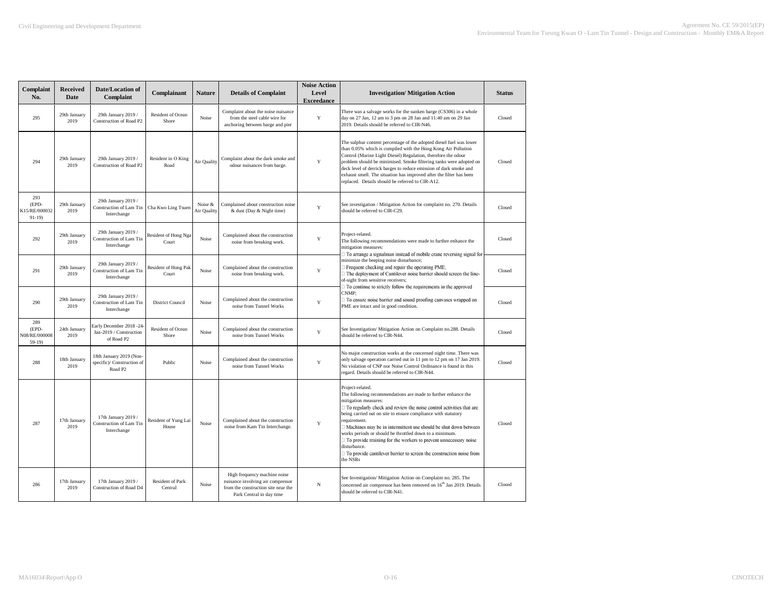| Complaint<br>No.                         | <b>Received</b><br><b>Date</b> | <b>Date/Location of</b><br>Complaint                                         | Complainant                        | <b>Nature</b>          | <b>Details of Complaint</b>                                                                                                          | <b>Noise Action</b><br>Level<br><b>Exceedance</b> | <b>Investigation/Mitigation Action</b>                                                                                                                                                                                                                                                                                                                                                                                                                                                                                                                                                   | <b>Status</b> |
|------------------------------------------|--------------------------------|------------------------------------------------------------------------------|------------------------------------|------------------------|--------------------------------------------------------------------------------------------------------------------------------------|---------------------------------------------------|------------------------------------------------------------------------------------------------------------------------------------------------------------------------------------------------------------------------------------------------------------------------------------------------------------------------------------------------------------------------------------------------------------------------------------------------------------------------------------------------------------------------------------------------------------------------------------------|---------------|
| 295                                      | 29th January<br>2019           | 29th January 2019 /<br>Construction of Road P2                               | Resident of Ocean<br>Shore         | Noise                  | Complaint about the noise nuisance<br>from the steel cable wire for<br>anchoring between barge and pier                              | Y                                                 | There was a salvage works for the sunken barge (CS306) in a whole<br>day on 27 Jan, 12 am to 3 pm on 28 Jan and 11:40 am on 29 Jan<br>2019. Details should be referred to CIR-N46.                                                                                                                                                                                                                                                                                                                                                                                                       | Closed        |
| 294                                      | 29th January<br>2019           | 29th January 2019 /<br>Construction of Road P2                               | Resident in O King<br>Road         | Air Quality            | Complaint about the dark smoke and<br>odour nuisances from barge.                                                                    | $\mathbf Y$                                       | The sulphur content percentage of the adopted diesel fuel was lower<br>than 0.05% which is compiled with the Hong Kong Air Pollution<br>Control (Marine Light Diesel) Regulation, therefore the odour<br>problem should be minimised. Smoke filtering tanks were adopted on<br>deck level of derrick barges to reduce emission of dark smoke and<br>exhaust smell. The situation has improved after the filter has been<br>replaced. Details should be referred to CIR-A12.                                                                                                              | Closed        |
| 293<br>(EPD-<br>K15/RE/000032<br>$91-19$ | 29th January<br>2019           | 29th January 2019 /<br>Construction of Lam Tir<br>Interchange                | Cha Kwo Ling Tsuen                 | Noise &<br>Air Quality | Complained about construction noise<br>& dust (Day & Night time)                                                                     | Y                                                 | See investigation / Mitigation Action for complaint no. 270. Details<br>should be referred to CIR-C29.                                                                                                                                                                                                                                                                                                                                                                                                                                                                                   | Closed        |
| 292                                      | 29th January<br>2019           | 29th January 2019 /<br>Construction of Lam Tir<br>Interchange                | Resident of Hong Nga<br>Court      | Noise                  | Complained about the construction<br>noise from breaking work.                                                                       | $\mathbf Y$                                       | Project-related.<br>The following recommendations were made to further enhance the<br>mitigation measures:<br>□ To arrange a signalman instead of mobile crane reversing signal for                                                                                                                                                                                                                                                                                                                                                                                                      | Closed        |
| 291                                      | 29th January<br>2019           | 29th January 2019 /<br>Construction of Lam Tin<br>Interchange                | Resident of Hong Pak<br>Court      | Noise                  | Complained about the construction<br>noise from breaking work.                                                                       | $\mathbf Y$                                       | minimize the beeping noise disturbance;<br>$\Box$ Frequent checking and repair the operating PME;<br>□ The deployment of Cantilever noise barrier should screen the line-<br>of-sight from sensitive receivers;<br>$\Box$ To continue to strictly follow the requirements in the approved                                                                                                                                                                                                                                                                                                | Closed        |
| 290                                      | 29th January<br>2019           | 29th January 2019 /<br>Construction of Lam Tin<br>Interchange                | <b>District Council</b>            | Noise                  | Complained about the construction<br>noise from Tunnel Works                                                                         | $\mathbf Y$                                       | CNMP:<br>□ To ensure noise barrier and sound proofing canvases wrapped on<br>PME are intact and in good condition.                                                                                                                                                                                                                                                                                                                                                                                                                                                                       | Closed        |
| 289<br>(EPD-<br>N08/RE/000008<br>$59-19$ | 24th January<br>2019           | Early December 2018 -24<br>Jan-2019 / Construction<br>of Road P2             | Resident of Ocean<br>Shore         | Noise                  | Complained about the construction<br>noise from Tunnel Works                                                                         | Y                                                 | See Investigation/ Mitigation Action on Complaint no.288. Details<br>should be referred to CIR-N44.                                                                                                                                                                                                                                                                                                                                                                                                                                                                                      | Closed        |
| 288                                      | 18th January<br>2019           | 18th January 2019 (Non-<br>specific)/ Construction of<br>Road P <sub>2</sub> | Public                             | Noise                  | Complained about the construction<br>noise from Tunnel Works                                                                         | Y                                                 | No major construction works at the concerned night time. There was<br>only salvage operation carried out in 11 pm to 12 pm on 17 Jan 2019.<br>No violation of CNP nor Noise Control Ordinance is found in this<br>regard. Details should be referred to CIR-N44.                                                                                                                                                                                                                                                                                                                         | Closed        |
| 287                                      | 17th January<br>2019           | 17th January 2019 /<br>Construction of Lam Tin<br>Interchange                | Resident of Yung Lai<br>House      | Noise                  | Complained about the construction<br>noise from Kam Tin Interchange.                                                                 | Y                                                 | Project-related.<br>The following recommendations are made to further enhance the<br>mitigation measures:<br>$\Box$ To regularly check and review the noise control activities that are<br>being carried out on site to ensure compliance with statutory<br>requirement.<br>□ Machines may be in intermittent use should be shut down between<br>works periods or should be throttled down to a minimum.<br>$\Box$ To provide training for the workers to prevent unnecessary noise<br>disturbance.<br>□ To provide cantilever barrier to screen the construction noise from<br>the NSRs | Closed        |
| 286                                      | 17th January<br>2019           | 17th January 2019 /<br><b>Construction of Road D4</b>                        | <b>Resident of Park</b><br>Central | Noise                  | High frequency machine noise<br>nuisance involving air compressor<br>from the construction site near the<br>Park Central in day time | $_{\rm N}$                                        | See Investigation/ Mitigation Action on Complaint no. 285. The<br>concerned air compressor has been removed on 16 <sup>th</sup> Jan 2019. Details<br>should be referred to CIR-N41.                                                                                                                                                                                                                                                                                                                                                                                                      | Closed        |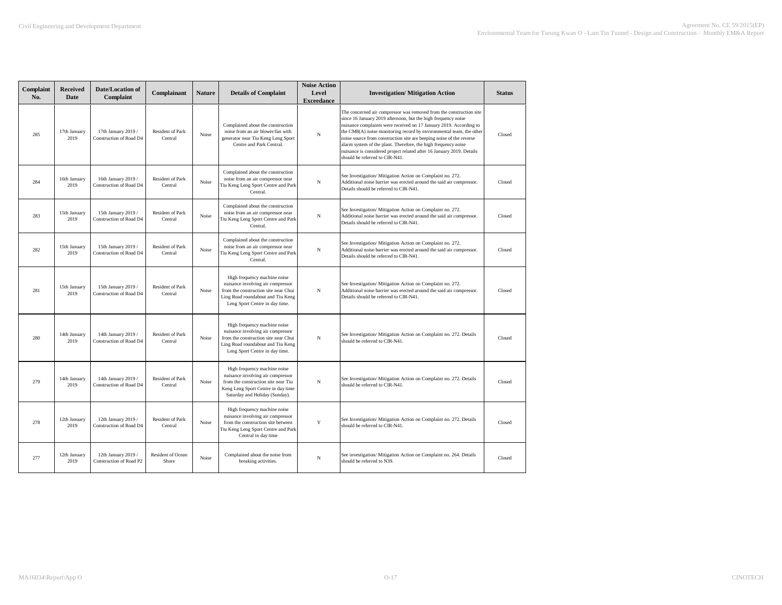| Complaint<br>No. | <b>Received</b><br>Date | <b>Date/Location of</b><br>Complaint           | Complainant                        | <b>Nature</b> | <b>Details of Complaint</b>                                                                                                                                                      | <b>Noise Action</b><br>Level<br><b>Exceedance</b> | <b>Investigation/ Mitigation Action</b>                                                                                                                                                                                                                                                                                                                                                                                                                                                                                                | <b>Status</b> |
|------------------|-------------------------|------------------------------------------------|------------------------------------|---------------|----------------------------------------------------------------------------------------------------------------------------------------------------------------------------------|---------------------------------------------------|----------------------------------------------------------------------------------------------------------------------------------------------------------------------------------------------------------------------------------------------------------------------------------------------------------------------------------------------------------------------------------------------------------------------------------------------------------------------------------------------------------------------------------------|---------------|
| 285              | 17th January<br>2019    | 17th January 2019 /<br>Construction of Road D4 | Resident of Park<br>Central        | Noise         | Complained about the construction<br>noise from an air blower/fan with<br>generator near Tiu Keng Leng Sport<br>Centre and Park Central.                                         | N                                                 | The concerned air compressor was removed from the construction site<br>since 16 January 2019 afternoon, but the high frequency noise<br>nuisance complaints were received on 17 January 2019. According to<br>the CM8(A) noise monitoring record by environmental team, the other<br>noise source from construction site are beeping noise of the reverse<br>alarm system of the plant. Therefore, the high frequency noise<br>nuisance is considered project related after 16 January 2019. Details<br>should be referred to CIR-N41. | Closed        |
| 284              | 16th January<br>2019    | 16th January 2019 /<br>Construction of Road D4 | Resident of Park<br>Central        | Noise         | Complained about the construction<br>noise from an air compressor near<br>Tiu Keng Leng Sport Centre and Park<br>Central.                                                        | N                                                 | See Investigation/ Mitigation Action on Complaint no. 272.<br>Additional noise barrier was erected around the said air compressor.<br>Details should be referred to CIR-N41.                                                                                                                                                                                                                                                                                                                                                           | Closed        |
| 283              | 15th January<br>2019    | 15th January 2019 /<br>Construction of Road D4 | <b>Resident of Park</b><br>Central | Noise         | Complained about the construction<br>noise from an air compressor near<br>Tiu Keng Leng Sport Centre and Park<br>Central.                                                        | N                                                 | See Investigation/ Mitigation Action on Complaint no. 272.<br>Additional noise barrier was erected around the said air compressor.<br>Details should be referred to CIR-N41.                                                                                                                                                                                                                                                                                                                                                           | Closed        |
| 282              | 15th January<br>2019    | 15th January 2019 /<br>Construction of Road D4 | Resident of Park<br>Central        | Noise         | Complained about the construction<br>noise from an air compressor near<br>Tiu Keng Leng Sport Centre and Park<br>Central.                                                        | N                                                 | See Investigation/ Mitigation Action on Complaint no. 272.<br>Additional noise barrier was erected around the said air compressor.<br>Details should be referred to CIR-N41.                                                                                                                                                                                                                                                                                                                                                           | Closed        |
| 281              | 15th January<br>2019    | 15th January 2019 /<br>Construction of Road D4 | <b>Resident of Park</b><br>Central | Noise         | High frequency machine noise<br>nuisance involving air compressor<br>from the construction site near Chui<br>Ling Road roundabout and Tiu Keng<br>Leng Sport Centre in day time. | N                                                 | See Investigation/Mitigation Action on Complaint no. 272.<br>Additional noise barrier was erected around the said air compressor.<br>Details should be referred to CIR-N41.                                                                                                                                                                                                                                                                                                                                                            | Closed        |
| 280              | 14th January<br>2019    | 14th January 2019 /<br>Construction of Road D4 | <b>Resident of Park</b><br>Central | Noise         | High frequency machine noise<br>nuisance involving air compressor<br>from the construction site near Chui<br>Ling Road roundabout and Tiu Keng<br>Leng Sport Centre in day time. | N                                                 | See Investigation/ Mitigation Action on Complaint no. 272. Details<br>should be referred to CIR-N41.                                                                                                                                                                                                                                                                                                                                                                                                                                   | Closed        |
| 279              | 14th January<br>2019    | 14th January 2019 /<br>Construction of Road D4 | <b>Resident of Park</b><br>Central | Noise         | High frequency machine noise<br>nuisance involving air compressor<br>from the construction site near Tiu<br>Keng Leng Sport Centre in day time<br>Saturday and Holiday (Sunday). | N                                                 | See Investigation/ Mitigation Action on Complaint no. 272. Details<br>should be referred to CIR-N41.                                                                                                                                                                                                                                                                                                                                                                                                                                   | Closed        |
| 278              | 12th January<br>2019    | 12th January 2019 /<br>Construction of Road D4 | Resident of Park<br>Central        | Noise         | High frequency machine noise<br>nuisance involving air compressor<br>from the construction site between<br>Tiu Keng Leng Sport Centre and Park<br>Central in day time            | Y                                                 | See Investigation/ Mitigation Action on Complaint no. 272. Details<br>should be referred to CIR-N41.                                                                                                                                                                                                                                                                                                                                                                                                                                   | Closed        |
| 277              | 12th January<br>2019    | 12th January 2019 /<br>Construction of Road P2 | Resident of Ocean<br>Shore         | Noise         | Complained about the noise from<br>breaking activities.                                                                                                                          | N                                                 | See investigation/Mitigation Action on Complaint no. 264. Details<br>should be referred to N39.                                                                                                                                                                                                                                                                                                                                                                                                                                        | Closed        |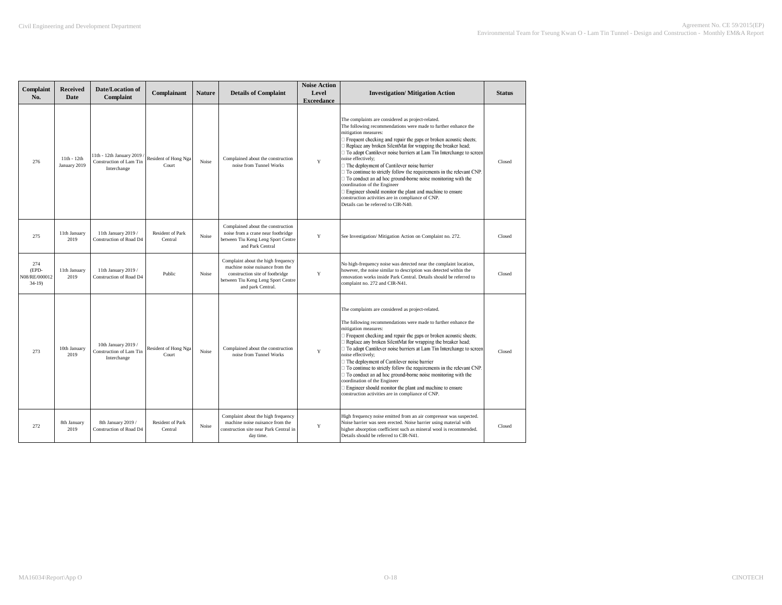| Complaint<br>No.                         | <b>Received</b><br><b>Date</b> | Date/Location of<br>Complaint                                      | Complainant                        | <b>Nature</b> | <b>Details of Complaint</b>                                                                                                                                         | <b>Noise Action</b><br>Level<br><b>Exceedance</b> | <b>Investigation/Mitigation Action</b>                                                                                                                                                                                                                                                                                                                                                                                                                                                                                                                                                                                                                                                                                                                  | <b>Status</b> |
|------------------------------------------|--------------------------------|--------------------------------------------------------------------|------------------------------------|---------------|---------------------------------------------------------------------------------------------------------------------------------------------------------------------|---------------------------------------------------|---------------------------------------------------------------------------------------------------------------------------------------------------------------------------------------------------------------------------------------------------------------------------------------------------------------------------------------------------------------------------------------------------------------------------------------------------------------------------------------------------------------------------------------------------------------------------------------------------------------------------------------------------------------------------------------------------------------------------------------------------------|---------------|
| 276                                      | $11th - 12th$<br>January 2019  | 11th - 12th January 2019<br>Construction of Lam Tin<br>Interchange | Resident of Hong Nga<br>Court      | Noise         | Complained about the construction<br>noise from Tunnel Works                                                                                                        | Y                                                 | The complaints are considered as project-related.<br>The following recommendations were made to further enhance the<br>mitigation measures:<br>Frequent checking and repair the gaps or broken acoustic sheets;<br>Replace any broken SilentMat for wrapping the breaker head;<br>To adopt Cantilever noise barriers at Lam Tin Interchange to screen<br>noise effectively;<br>The deployment of Cantilever noise barrier<br>To continue to strictly follow the requirements in the relevant CNP.<br>To conduct an ad hoc ground-borne noise monitoring with the<br>coordination of the Engineer<br>Engineer should monitor the plant and machine to ensure<br>construction activities are in compliance of CNP.<br>Details can be referred to CIR-N40. | Closed        |
| 275                                      | 11th January<br>2019           | 11th January 2019 /<br>Construction of Road D4                     | <b>Resident of Park</b><br>Central | Noise         | Complained about the construction<br>noise from a crane near footbridge<br>between Tiu Keng Leng Sport Centre<br>and Park Central                                   | Y                                                 | See Investigation/ Mitigation Action on Complaint no. 272.                                                                                                                                                                                                                                                                                                                                                                                                                                                                                                                                                                                                                                                                                              | Closed        |
| 274<br>(EPD-<br>N08/RE/000012<br>$34-19$ | 11th January<br>2019           | 11th January 2019 /<br>Construction of Road D4                     | Public                             | Noise         | Complaint about the high frequency<br>machine noise nuisance from the<br>construction site of footbridge<br>between Tiu Keng Leng Sport Centre<br>and park Central. | $\mathbf Y$                                       | No high-frequency noise was detected near the complaint location,<br>however, the noise similar to description was detected within the<br>renovation works inside Park Central. Details should be referred to<br>complaint no. 272 and CIR-N41.                                                                                                                                                                                                                                                                                                                                                                                                                                                                                                         | Closed        |
| 273                                      | 10th January<br>2019           | 10th January 2019 /<br>Construction of Lam Tin<br>Interchange      | Resident of Hong Nga<br>Court      | Noise         | Complained about the construction<br>noise from Tunnel Works                                                                                                        | $\mathbf Y$                                       | The complaints are considered as project-related.<br>The following recommendations were made to further enhance the<br>mitigation measures:<br>Frequent checking and repair the gaps or broken acoustic sheets;<br>Replace any broken SilentMat for wrapping the breaker head;<br>To adopt Cantilever noise barriers at Lam Tin Interchange to screen<br>noise effectively;<br>The deployment of Cantilever noise barrier<br>$\Box$ To continue to strictly follow the requirements in the relevant CNP.<br>To conduct an ad hoc ground-borne noise monitoring with the<br>coordination of the Engineer<br>Engineer should monitor the plant and machine to ensure<br>construction activities are in compliance of CNP.                                 | Closed        |
| 272                                      | 8th January<br>2019            | 8th January 2019 /<br>Construction of Road D4                      | Resident of Park<br>Central        | Noise         | Complaint about the high frequency<br>machine noise nuisance from the<br>construction site near Park Central in<br>day time.                                        | Y                                                 | High frequency noise emitted from an air compressor was suspected.<br>Noise barrier was seen erected. Noise barrier using material with<br>nigher absorption coefficient such as mineral wool is recommended.<br>Details should be referred to CIR-N41.                                                                                                                                                                                                                                                                                                                                                                                                                                                                                                 | Closed        |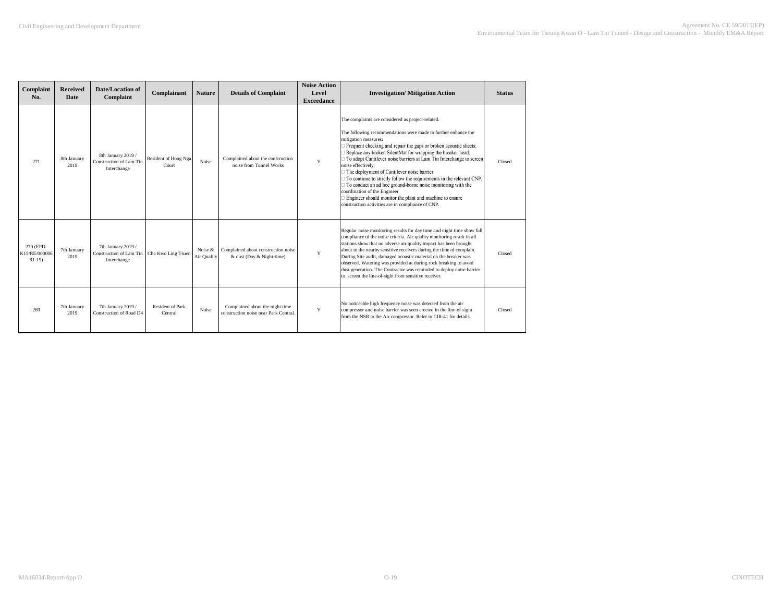| Complaint<br>No.                      | <b>Received</b><br>Date | Date/Location of<br>Complaint                                | Complainant                        | <b>Nature</b>          | <b>Details of Complaint</b>                                              | <b>Noise Action</b><br>Level<br><b>Exceedance</b> | <b>Investigation/Mitigation Action</b>                                                                                                                                                                                                                                                                                                                                                                                                                                                                                                                                                                                                                                                                                                    | <b>Status</b> |
|---------------------------------------|-------------------------|--------------------------------------------------------------|------------------------------------|------------------------|--------------------------------------------------------------------------|---------------------------------------------------|-------------------------------------------------------------------------------------------------------------------------------------------------------------------------------------------------------------------------------------------------------------------------------------------------------------------------------------------------------------------------------------------------------------------------------------------------------------------------------------------------------------------------------------------------------------------------------------------------------------------------------------------------------------------------------------------------------------------------------------------|---------------|
| 271                                   | 8th January<br>2019     | 8th January 2019 /<br>Construction of Lam Tin<br>Interchange | Resident of Hong Nga<br>Court      | Noise                  | Complained about the construction<br>noise from Tunnel Works             | Y                                                 | The complaints are considered as project-related.<br>The following recommendations were made to further enhance the<br>mitigation measures:<br>Frequent checking and repair the gaps or broken acoustic sheets;<br>Replace any broken SilentMat for wrapping the breaker head;<br>□ To adopt Cantilever noise barriers at Lam Tin Interchange to screen<br>noise effectively;<br>□ The deployment of Cantilever noise barrier<br>$\Box$ To continue to strictly follow the requirements in the relevant CNP.<br>$\Box$ To conduct an ad hoc ground-borne noise monitoring with the<br>coordination of the Engineer<br>$\Box$ Engineer should monitor the plant and machine to ensure<br>construction activities are in compliance of CNP. | Closed        |
| 270 (EPD-<br>K15/RE/000006<br>$91-19$ | 7th January<br>2019     | 7th January 2019 /<br>Construction of Lam Tin<br>Interchange | Cha Kwo Ling Tsuen                 | Noise &<br>Air Quality | Complained about construction noise<br>& dust (Day & Night-time)         | Y                                                 | Regular noise monitoring results for day time and night time show full<br>compliance of the noise criteria. Air quality monitoring result in all<br>stations show that no adverse air quality impact has been brought<br>about to the nearby sensitive receivers during the time of complain.<br>During Site audit, damaged acoustic material on the breaker was<br>observed. Watering was provided at during rock breaking to avoid<br>dust generation. The Contractor was reminded to deploy noise barrier<br>to screen the line-of-sight from sensitive receiver.                                                                                                                                                                      | Closed        |
| 269                                   | 7th January<br>2019     | 7th January 2019 /<br>Construction of Road D4                | <b>Resident of Park</b><br>Central | Noise                  | Complained about the night time<br>construction noise near Park Central. | Y                                                 | No noticeable high frequency noise was detected from the air<br>compressor and noise barrier was seen erected in the line-of-sight<br>from the NSR to the Air compressor. Refer to CIR-41 for details.                                                                                                                                                                                                                                                                                                                                                                                                                                                                                                                                    | Closed        |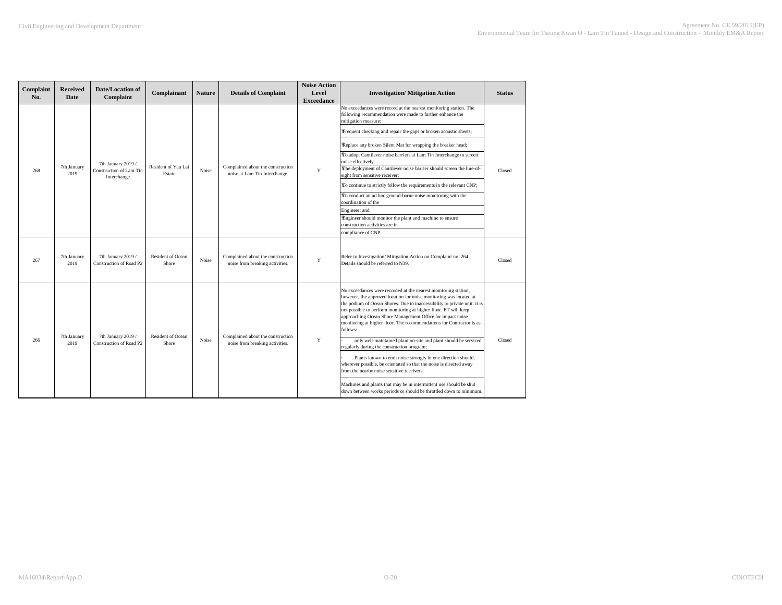| Complaint<br>No. | <b>Received</b><br>Date | Date/Location of<br>Complaint                 | Complainant                       | <b>Nature</b> | <b>Details of Complaint</b>                                          | <b>Noise Action</b><br>Level<br><b>Exceedance</b> | <b>Investigation/ Mitigation Action</b>                                                                                                                                                                                                                                                                                                                                                                                                                                                                                                                                                                                                                                                          | <b>Status</b> |
|------------------|-------------------------|-----------------------------------------------|-----------------------------------|---------------|----------------------------------------------------------------------|---------------------------------------------------|--------------------------------------------------------------------------------------------------------------------------------------------------------------------------------------------------------------------------------------------------------------------------------------------------------------------------------------------------------------------------------------------------------------------------------------------------------------------------------------------------------------------------------------------------------------------------------------------------------------------------------------------------------------------------------------------------|---------------|
|                  |                         |                                               |                                   |               |                                                                      |                                                   | No exceedances were record at the nearest monitoring station. The<br>following recommendation were made to further enhance the<br>mitigation measure:                                                                                                                                                                                                                                                                                                                                                                                                                                                                                                                                            |               |
|                  |                         |                                               |                                   |               |                                                                      |                                                   | Frequent checking and repair the gaps or broken acoustic sheets;                                                                                                                                                                                                                                                                                                                                                                                                                                                                                                                                                                                                                                 |               |
|                  |                         |                                               |                                   |               |                                                                      |                                                   | Replace any broken Silent Mat for wrapping the breaker head;                                                                                                                                                                                                                                                                                                                                                                                                                                                                                                                                                                                                                                     |               |
|                  |                         | 7th January 2019 /                            |                                   |               |                                                                      |                                                   | To adopt Cantilever noise barriers at Lam Tin Interchange to screen<br>noise effectively;                                                                                                                                                                                                                                                                                                                                                                                                                                                                                                                                                                                                        |               |
| 268              | 7th January<br>2019     | Construction of Lam Tin<br>Interchange        | Resident of Yau Lai<br>Estate     | Noise         | Complained about the construction<br>noise at Lam Tin Interchange.   | Y                                                 | The deployment of Cantilever noise barrier should screen the line-of-<br>sight from sensitive receiver:                                                                                                                                                                                                                                                                                                                                                                                                                                                                                                                                                                                          | Closed        |
|                  |                         |                                               |                                   |               |                                                                      |                                                   | To continue to strictly follow the requirements in the relevant CNP;                                                                                                                                                                                                                                                                                                                                                                                                                                                                                                                                                                                                                             |               |
|                  |                         |                                               |                                   |               |                                                                      |                                                   | To conduct an ad hoc ground-borne noise monitoring with the<br>coordination of the                                                                                                                                                                                                                                                                                                                                                                                                                                                                                                                                                                                                               |               |
|                  |                         |                                               |                                   |               |                                                                      |                                                   | Engineer; and                                                                                                                                                                                                                                                                                                                                                                                                                                                                                                                                                                                                                                                                                    |               |
|                  |                         |                                               |                                   |               |                                                                      |                                                   | Engineer should monitor the plant and machine to ensure<br>construction activities are in                                                                                                                                                                                                                                                                                                                                                                                                                                                                                                                                                                                                        |               |
|                  |                         |                                               |                                   |               |                                                                      |                                                   | compliance of CNP.                                                                                                                                                                                                                                                                                                                                                                                                                                                                                                                                                                                                                                                                               |               |
| 267              | 7th January<br>2019     | 7th January 2019 /<br>Construction of Road P2 | <b>Resident of Ocean</b><br>Shore | Noise         | Complained about the construction<br>noise from breaking activities. | Y                                                 | Refer to Investigation/Mitigation Action on Complaint no. 264.<br>Details should be referred to N39.                                                                                                                                                                                                                                                                                                                                                                                                                                                                                                                                                                                             | Closed        |
| 266              | 7th January<br>2019     | 7th January 2019 /<br>Construction of Road P2 | <b>Resident of Ocean</b><br>Shore | Noise         | Complained about the construction<br>noise from breaking activities. | Y                                                 | No exceedances were recorded at the nearest monitoring station,<br>however, the approved location for noise monitoring was located at<br>the podium of Ocean Shores. Due to inaccessibility to private unit, it is<br>not possible to perform monitoring at higher floor. ET will keep<br>approaching Ocean Shore Management Office for impact noise<br>monitoring at higher floor. The recommendations for Contractor is as<br>follows:<br>only well-maintained plant on-site and plant should be serviced<br>regularly during the construction program;<br>Plants known to emit noise strongly in one direction should,<br>wherever possible, be orientated so that the noise is directed away | Closed        |
|                  |                         |                                               |                                   |               |                                                                      |                                                   | from the nearby noise sensitive receivers;<br>Machines and plants that may be in intermittent use should be shut<br>down between works periods or should be throttled down to minimum.                                                                                                                                                                                                                                                                                                                                                                                                                                                                                                           |               |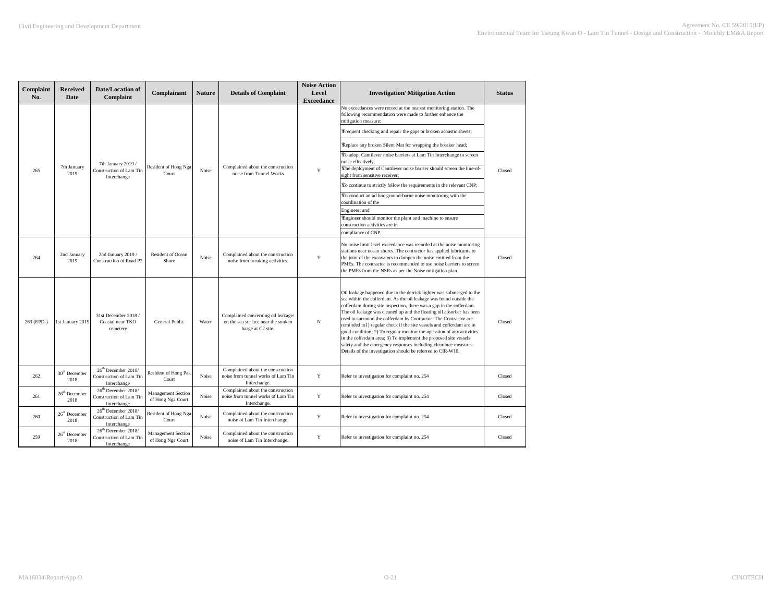| Complaint<br>No. | Received<br>Date                  | Date/Location of<br>Complaint                                                    | Complainant                             | Nature | <b>Details of Complaint</b>                                                                   | <b>Noise Action</b><br>Level<br><b>Exceedance</b> | <b>Investigation/Mitigation Action</b>                                                                                                                                                                                                                                                                                                                                                                                                                                                                                                                                                                                                                                                                                 | <b>Status</b> |
|------------------|-----------------------------------|----------------------------------------------------------------------------------|-----------------------------------------|--------|-----------------------------------------------------------------------------------------------|---------------------------------------------------|------------------------------------------------------------------------------------------------------------------------------------------------------------------------------------------------------------------------------------------------------------------------------------------------------------------------------------------------------------------------------------------------------------------------------------------------------------------------------------------------------------------------------------------------------------------------------------------------------------------------------------------------------------------------------------------------------------------------|---------------|
|                  |                                   |                                                                                  |                                         |        |                                                                                               |                                                   | No exceedances were record at the nearest monitoring station. The<br>following recommendation were made to further enhance the<br>mitigation measure:                                                                                                                                                                                                                                                                                                                                                                                                                                                                                                                                                                  |               |
|                  |                                   |                                                                                  |                                         |        |                                                                                               |                                                   | Frequent checking and repair the gaps or broken acoustic sheets;                                                                                                                                                                                                                                                                                                                                                                                                                                                                                                                                                                                                                                                       |               |
|                  |                                   |                                                                                  |                                         |        |                                                                                               |                                                   | Replace any broken Silent Mat for wrapping the breaker head;                                                                                                                                                                                                                                                                                                                                                                                                                                                                                                                                                                                                                                                           |               |
|                  |                                   | 7th January 2019 /                                                               |                                         |        |                                                                                               |                                                   | To adopt Cantilever noise barriers at Lam Tin Interchange to screen<br>noise effectively;                                                                                                                                                                                                                                                                                                                                                                                                                                                                                                                                                                                                                              |               |
| 265              | 7th January<br>2019               | Construction of Lam Tin<br>Interchange                                           | Resident of Hong Nga<br>Court           | Noise  | Complained about the construction<br>noise from Tunnel Works                                  | Y                                                 | The deployment of Cantilever noise barrier should screen the line-of-<br>sight from sensitive receiver;                                                                                                                                                                                                                                                                                                                                                                                                                                                                                                                                                                                                                | Closed        |
|                  |                                   |                                                                                  |                                         |        |                                                                                               |                                                   | To continue to strictly follow the requirements in the relevant CNP;                                                                                                                                                                                                                                                                                                                                                                                                                                                                                                                                                                                                                                                   |               |
|                  |                                   |                                                                                  |                                         |        |                                                                                               |                                                   | To conduct an ad hoc ground-borne noise monitoring with the<br>coordination of the                                                                                                                                                                                                                                                                                                                                                                                                                                                                                                                                                                                                                                     |               |
|                  |                                   |                                                                                  |                                         |        |                                                                                               |                                                   | Engineer; and                                                                                                                                                                                                                                                                                                                                                                                                                                                                                                                                                                                                                                                                                                          |               |
|                  |                                   |                                                                                  |                                         |        |                                                                                               |                                                   | Engineer should monitor the plant and machine to ensure<br>construction activities are in                                                                                                                                                                                                                                                                                                                                                                                                                                                                                                                                                                                                                              |               |
|                  |                                   |                                                                                  |                                         |        |                                                                                               |                                                   | compliance of CNP.                                                                                                                                                                                                                                                                                                                                                                                                                                                                                                                                                                                                                                                                                                     |               |
| 264              | 2nd January<br>2019               | 2nd January 2019 /<br>Construction of Road P2                                    | Resident of Ocean<br>Shore              | Noise  | Complained about the construction<br>noise from breaking activities.                          | $\mathbf Y$                                       | No noise limit level exceedance was recorded at the noise monitoring<br>stations near ocean shores. The contractor has applied lubricants to<br>the joint of the excavators to dampen the noise emitted from the<br>PMEs. The contractor is recommended to use noise barriers to screen<br>the PMEs from the NSRs as per the Noise mitigation plan.                                                                                                                                                                                                                                                                                                                                                                    | Closed        |
| 263 (EPD-)       | 1st January 2019                  | 31st December 2018 /<br>Coastal near TKO<br>cemetery                             | General Public                          | Water  | Complained concerning oil leakage/<br>on the sea surface near the sunken<br>barge at C2 site. | $_{\rm N}$                                        | Oil leakage happened due to the derrick lighter was submerged to the<br>sea within the cofferdam. As the oil leakage was found outside the<br>cofferdam during site inspection, there was a gap in the cofferdam.<br>The oil leakage was cleaned up and the floating oil absorber has been<br>used to surround the cofferdam by Contractor. The Contractor are<br>reminded to1) regular check if the site vessels and cofferdam are in<br>good-condition; 2) To regular monitor the operation of any activities<br>in the cofferdam area; 3) To implement the proposed site vessels<br>safety and the emergency responses including clearance measures.<br>Details of the investigation should be referred to CIR-W10. | Closed        |
| 262              | 30 <sup>th</sup> December<br>2018 | 26 <sup>th</sup> December 2018/<br>Construction of Lam Tin<br>Interchange        | Resident of Hong Pak<br>Court           | Noise  | Complained about the construction<br>noise from tunnel works of Lam Tin<br>Interchange.       | Y                                                 | Refer to investigation for complaint no. 254                                                                                                                                                                                                                                                                                                                                                                                                                                                                                                                                                                                                                                                                           | Closed        |
| 261              | 26 <sup>th</sup> December<br>2018 | 26 <sup>th</sup> December 2018/<br>Construction of Lam Tin<br>Interchange        | Management Section<br>of Hong Nga Court | Noise  | Complained about the construction<br>noise from tunnel works of Lam Tin<br>Interchange.       | Y                                                 | Refer to investigation for complaint no. 254                                                                                                                                                                                                                                                                                                                                                                                                                                                                                                                                                                                                                                                                           | Closed        |
| 260              | 26 <sup>th</sup> December<br>2018 | 26 <sup>th</sup> December 2018/<br><b>Construction of Lam Tin</b><br>Interchange | Resident of Hong Nga<br>Court           | Noise  | Complained about the construction<br>noise of Lam Tin Interchange.                            | Y                                                 | Refer to investigation for complaint no. 254                                                                                                                                                                                                                                                                                                                                                                                                                                                                                                                                                                                                                                                                           | Closed        |
| 259              | 26 <sup>th</sup> December<br>2018 | 26 <sup>th</sup> December 2018/<br>Construction of Lam Tin<br>Interchange        | Management Section<br>of Hong Nga Court | Noise  | Complained about the construction<br>noise of Lam Tin Interchange.                            | $\mathbf Y$                                       | Refer to investigation for complaint no. 254                                                                                                                                                                                                                                                                                                                                                                                                                                                                                                                                                                                                                                                                           | Closed        |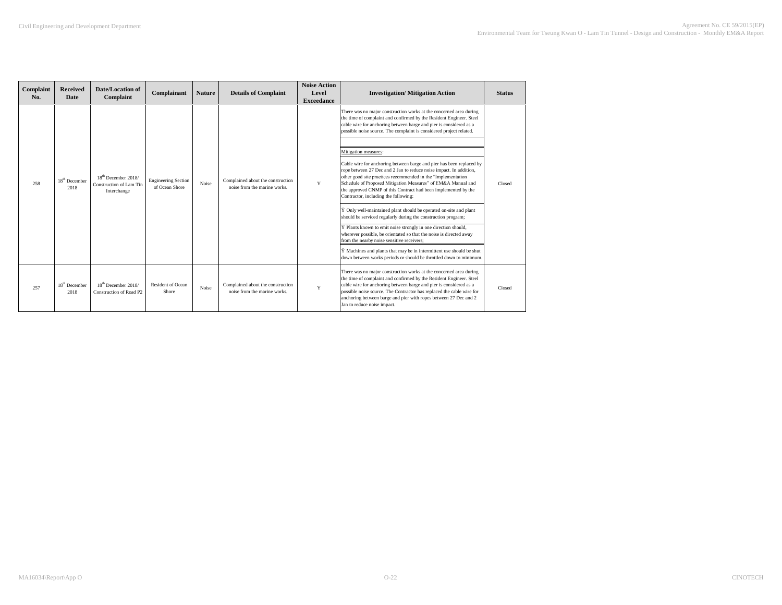| Complaint<br>No. | Received<br>Date                  | Date/Location of<br>Complaint                                             | Complainant                                  | <b>Nature</b> | <b>Details of Complaint</b>                                       | <b>Noise Action</b><br>Level<br><b>Exceedance</b> | <b>Investigation/Mitigation Action</b>                                                                                                                                                                                                                                                                                                                                                      | <b>Status</b> |
|------------------|-----------------------------------|---------------------------------------------------------------------------|----------------------------------------------|---------------|-------------------------------------------------------------------|---------------------------------------------------|---------------------------------------------------------------------------------------------------------------------------------------------------------------------------------------------------------------------------------------------------------------------------------------------------------------------------------------------------------------------------------------------|---------------|
|                  |                                   |                                                                           |                                              | Noise         |                                                                   |                                                   | There was no major construction works at the concerned area during<br>the time of complaint and confirmed by the Resident Engineer. Steel<br>cable wire for anchoring between barge and pier is considered as a<br>possible noise source. The complaint is considered project related.                                                                                                      |               |
|                  |                                   | 18 <sup>th</sup> December 2018/<br>Construction of Lam Tin<br>Interchange |                                              |               | Complained about the construction<br>noise from the marine works. | Y                                                 | Mitigation measures:                                                                                                                                                                                                                                                                                                                                                                        | Closed        |
| 258              | 18 <sup>th</sup> December<br>2018 |                                                                           | <b>Engineering Section</b><br>of Ocean Shore |               |                                                                   |                                                   | Cable wire for anchoring between barge and pier has been replaced by<br>rope between 27 Dec and 2 Jan to reduce noise impact. In addition,<br>other good site practices recommended in the "Implementation<br>Schedule of Proposed Mitigation Measures" of EM&A Manual and<br>the approved CNMP of this Contract had been implemented by the<br>Contractor, including the following:        |               |
|                  |                                   |                                                                           |                                              |               |                                                                   |                                                   | Y Only well-maintained plant should be operated on-site and plant<br>should be serviced regularly during the construction program;                                                                                                                                                                                                                                                          |               |
|                  |                                   |                                                                           |                                              |               |                                                                   |                                                   | Y Plants known to emit noise strongly in one direction should,<br>wherever possible, be orientated so that the noise is directed away<br>from the nearby noise sensitive receivers;                                                                                                                                                                                                         |               |
|                  |                                   |                                                                           |                                              |               |                                                                   |                                                   | Y Machines and plants that may be in intermittent use should be shut<br>down between works periods or should be throttled down to minimum.                                                                                                                                                                                                                                                  |               |
| 257              | 18 <sup>th</sup> December<br>2018 | 18 <sup>th</sup> December 2018/<br>Construction of Road P2                | <b>Resident of Ocean</b><br>Shore            | Noise         | Complained about the construction<br>noise from the marine works. | Y                                                 | There was no major construction works at the concerned area during<br>the time of complaint and confirmed by the Resident Engineer. Steel<br>cable wire for anchoring between barge and pier is considered as a<br>possible noise source. The Contractor has replaced the cable wire for<br>anchoring between barge and pier with ropes between 27 Dec and 2<br>Jan to reduce noise impact. | Closed        |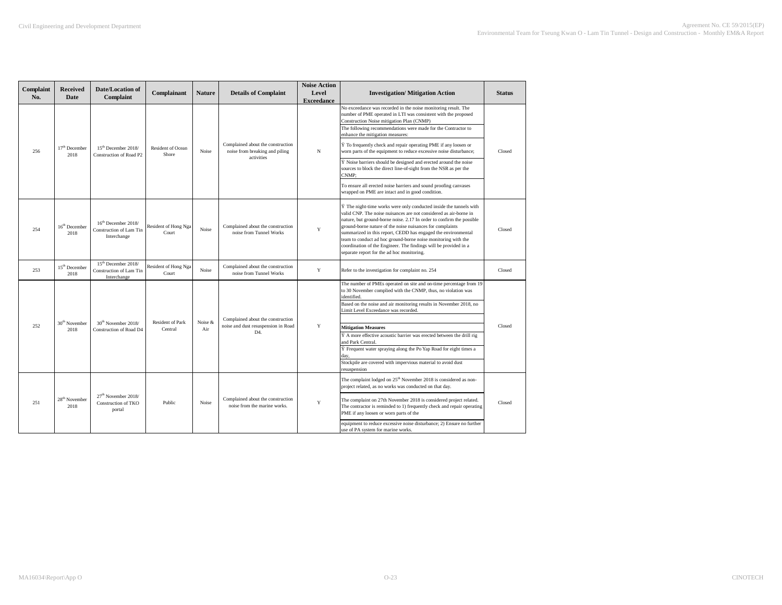| Complaint<br>No. | <b>Received</b><br>Date           | Date/Location of<br>Complaint                                             | Complainant                       | <b>Nature</b> | <b>Details of Complaint</b>                                                       | <b>Noise Action</b><br>Level<br><b>Exceedance</b> | <b>Investigation/Mitigation Action</b>                                                                                                                                                                                                                                                                                                                                                                                                                                                                                                    | <b>Status</b> |
|------------------|-----------------------------------|---------------------------------------------------------------------------|-----------------------------------|---------------|-----------------------------------------------------------------------------------|---------------------------------------------------|-------------------------------------------------------------------------------------------------------------------------------------------------------------------------------------------------------------------------------------------------------------------------------------------------------------------------------------------------------------------------------------------------------------------------------------------------------------------------------------------------------------------------------------------|---------------|
|                  |                                   |                                                                           |                                   |               |                                                                                   |                                                   | No exceedance was recorded in the noise monitoring result. The<br>number of PME operated in LTI was consistent with the proposed<br>Construction Noise mitigation Plan (CNMP)<br>The following recommendations were made for the Contractor to                                                                                                                                                                                                                                                                                            |               |
|                  |                                   |                                                                           |                                   |               |                                                                                   |                                                   | enhance the mitigation measures:                                                                                                                                                                                                                                                                                                                                                                                                                                                                                                          |               |
| 256              | 17 <sup>th</sup> December<br>2018 | 15 <sup>th</sup> December 2018/<br>Construction of Road P2                | <b>Resident of Ocean</b><br>Shore | Noise         | Complained about the construction<br>noise from breaking and piling<br>activities | N                                                 | Y To frequently check and repair operating PME if any loosen or<br>worn parts of the equipment to reduce excessive noise disturbance;                                                                                                                                                                                                                                                                                                                                                                                                     | Closed        |
|                  |                                   |                                                                           |                                   |               |                                                                                   |                                                   | $\ddot{Y}$ Noise barriers should be designed and erected around the noise<br>sources to block the direct line-of-sight from the NSR as per the<br>CNMP:                                                                                                                                                                                                                                                                                                                                                                                   |               |
|                  |                                   |                                                                           |                                   |               |                                                                                   |                                                   | To ensure all erected noise barriers and sound proofing canvases<br>wrapped on PME are intact and in good condition.                                                                                                                                                                                                                                                                                                                                                                                                                      |               |
| 254              | 16 <sup>th</sup> December<br>2018 | 16 <sup>th</sup> December 2018/<br>Construction of Lam Tin<br>Interchange | Resident of Hong Nga<br>Court     | Noise         | Complained about the construction<br>noise from Tunnel Works                      | Y                                                 | $\ddot{Y}$ The night-time works were only conducted inside the tunnels with<br>valid CNP. The noise nuisances are not considered as air-borne in<br>nature, but ground-borne noise. 2.17 In order to confirm the possible<br>ground-borne nature of the noise nuisances for complaints<br>summarized in this report, CEDD has engaged the environmental<br>eam to conduct ad hoc ground-borne noise monitoring with the<br>coordination of the Engineer. The findings will be provided in a<br>separate report for the ad hoc monitoring. | Closed        |
| 253              | $15^{\text{th}}$ December<br>2018 | 15 <sup>th</sup> December 2018/<br>Construction of Lam Tin<br>Interchange | Resident of Hong Nga<br>Court     | Noise         | Complained about the construction<br>noise from Tunnel Works                      | Y                                                 | Refer to the investigation for complaint no. 254                                                                                                                                                                                                                                                                                                                                                                                                                                                                                          | Closed        |
|                  |                                   |                                                                           |                                   |               |                                                                                   |                                                   | The number of PMEs operated on site and on-time percentage from 19<br>to 30 November complied with the CNMP, thus, no violation was<br>identified.                                                                                                                                                                                                                                                                                                                                                                                        |               |
|                  |                                   |                                                                           |                                   |               |                                                                                   |                                                   | Based on the noise and air monitoring results in November 2018, no<br>Limit Level Exceedance was recorded.                                                                                                                                                                                                                                                                                                                                                                                                                                |               |
|                  | 30 <sup>th</sup> November         | 30 <sup>th</sup> November 2018/                                           | Resident of Park                  | Noise &       | Complained about the construction                                                 |                                                   |                                                                                                                                                                                                                                                                                                                                                                                                                                                                                                                                           |               |
| 252              | 2018                              | <b>Construction of Road D4</b>                                            | Central                           | Air           | noise and dust resuspension in Road<br>D4.                                        | Y                                                 | <b>Mitigation Measures</b><br>Ÿ A more effective acoustic barrier was erected between the drill rig                                                                                                                                                                                                                                                                                                                                                                                                                                       | Closed        |
|                  |                                   |                                                                           |                                   |               |                                                                                   |                                                   | and Park Central.<br>Ÿ Frequent water spraying along the Po Yap Road for eight times a                                                                                                                                                                                                                                                                                                                                                                                                                                                    |               |
|                  |                                   |                                                                           |                                   |               |                                                                                   |                                                   |                                                                                                                                                                                                                                                                                                                                                                                                                                                                                                                                           |               |
|                  |                                   |                                                                           |                                   |               |                                                                                   |                                                   | Stockpile are covered with impervious material to avoid dust<br>resuspension                                                                                                                                                                                                                                                                                                                                                                                                                                                              |               |
|                  |                                   |                                                                           |                                   |               |                                                                                   |                                                   | The complaint lodged on 25 <sup>th</sup> November 2018 is considered as non-<br>project related, as no works was conducted on that day.                                                                                                                                                                                                                                                                                                                                                                                                   |               |
| 251              | 28 <sup>th</sup> November<br>2018 | 27 <sup>th</sup> November 2018/<br>Construction of TKO<br>portal          | Public                            | Noise         | Complained about the construction<br>noise from the marine works.                 | Y                                                 | The complaint on 27th November 2018 is considered project related.<br>The contractor is reminded to 1) frequently check and repair operating<br>PME if any loosen or worn parts of the                                                                                                                                                                                                                                                                                                                                                    | Closed        |
|                  |                                   |                                                                           |                                   |               |                                                                                   |                                                   | equipment to reduce excessive noise disturbance; 2) Ensure no further<br>use of PA system for marine works.                                                                                                                                                                                                                                                                                                                                                                                                                               |               |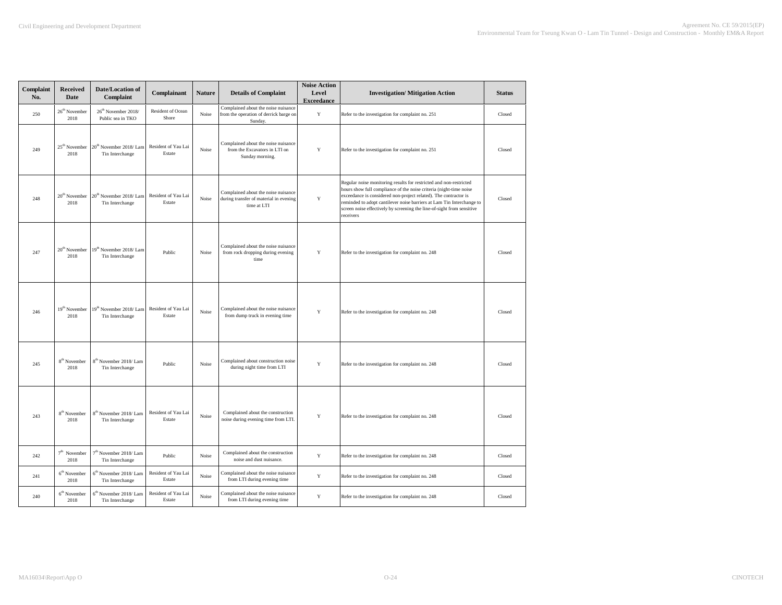| Complaint<br>No. | <b>Received</b><br><b>Date</b>    | Date/Location of<br>Complaint                          | Complainant                   | <b>Nature</b> | <b>Details of Complaint</b>                                                                  | <b>Noise Action</b><br>Level<br><b>Exceedance</b> | <b>Investigation/ Mitigation Action</b>                                                                                                                                                                                                                                                                                                                                      | <b>Status</b> |
|------------------|-----------------------------------|--------------------------------------------------------|-------------------------------|---------------|----------------------------------------------------------------------------------------------|---------------------------------------------------|------------------------------------------------------------------------------------------------------------------------------------------------------------------------------------------------------------------------------------------------------------------------------------------------------------------------------------------------------------------------------|---------------|
| 250              | 26 <sup>th</sup> November<br>2018 | 26 <sup>th</sup> November 2018/<br>Public sea in TKO   | Resident of Ocean<br>Shore    | Noise         | Complained about the noise nuisance<br>from the operation of derrick barge on<br>Sunday.     | $\mathbf Y$                                       | Refer to the investigation for complaint no. 251                                                                                                                                                                                                                                                                                                                             | Closed        |
| 249              | 25 <sup>th</sup> November<br>2018 | 20 <sup>th</sup> November 2018/ Lam<br>Tin Interchange | Resident of Yau Lai<br>Estate | Noise         | Complained about the noise nuisance<br>from the Excavators in LTI on<br>Sunday morning.      | Y                                                 | Refer to the investigation for complaint no. 251                                                                                                                                                                                                                                                                                                                             | Closed        |
| 248              | 20 <sup>th</sup> November<br>2018 | 20 <sup>th</sup> November 2018/Lam<br>Tin Interchange  | Resident of Yau Lai<br>Estate | Noise         | Complained about the noise nuisance<br>during transfer of material in evening<br>time at LTI | Y                                                 | Regular noise monitoring results for restricted and non-restricted<br>hours show full compliance of the noise criteria (night-time noise<br>exceedance is considered non-project related). The contractor is<br>reminded to adopt cantilever noise barriers at Lam Tin Interchange to<br>screen noise effectively by screening the line-of-sight from sensitive<br>receivers | Closed        |
| 247              | 20 <sup>th</sup> November<br>2018 | 19 <sup>th</sup> November 2018/ Lam<br>Tin Interchange | Public                        | Noise         | Complained about the noise nuisance<br>from rock dropping during evening<br>time             | Y                                                 | Refer to the investigation for complaint no. 248                                                                                                                                                                                                                                                                                                                             | Closed        |
| 246              | 19 <sup>th</sup> November<br>2018 | 19 <sup>th</sup> November 2018/Lam<br>Tin Interchange  | Resident of Yau Lai<br>Estate | Noise         | Complained about the noise nuisance<br>from dump truck in evening time                       | Y                                                 | Refer to the investigation for complaint no. 248                                                                                                                                                                                                                                                                                                                             | Closed        |
| 245              | 8 <sup>th</sup> November<br>2018  | 8 <sup>th</sup> November 2018/ Lam<br>Tin Interchange  | Public                        | Noise         | Complained about construction noise<br>during night time from LTI                            | $\mathbf Y$                                       | Refer to the investigation for complaint no. 248                                                                                                                                                                                                                                                                                                                             | Closed        |
| 243              | 8 <sup>th</sup> November<br>2018  | 8 <sup>th</sup> November 2018/Lam<br>Tin Interchange   | Resident of Yau Lai<br>Estate | Noise         | Complained about the construction<br>noise during evening time from LTI.                     | Y                                                 | Refer to the investigation for complaint no. 248                                                                                                                                                                                                                                                                                                                             | Closed        |
| 242              | $7th$ November<br>2018            | $7^{\rm th}$ November 2018/ Lam<br>Tin Interchange     | Public                        | Noise         | Complained about the construction<br>noise and dust nuisance.                                | $\mathbf Y$                                       | Refer to the investigation for complaint no. 248                                                                                                                                                                                                                                                                                                                             | Closed        |
| 241              | $6th$ November<br>2018            | 6 <sup>th</sup> November 2018/Lam<br>Tin Interchange   | Resident of Yau Lai<br>Estate | Noise         | Complained about the noise nuisance<br>from LTI during evening time                          | $\mathbf Y$                                       | Refer to the investigation for complaint no. 248                                                                                                                                                                                                                                                                                                                             | Closed        |
| 240              | $6th$ November<br>2018            | $6^{\text{th}}$ November 2018/ Lam<br>Tin Interchange  | Resident of Yau Lai<br>Estate | Noise         | Complained about the noise nuisance<br>from LTI during evening time                          | Y                                                 | Refer to the investigation for complaint no. 248                                                                                                                                                                                                                                                                                                                             | Closed        |